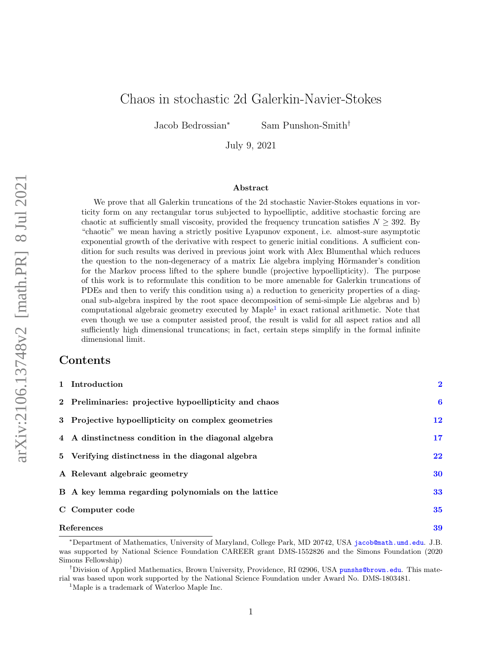# Chaos in stochastic 2d Galerkin-Navier-Stokes

Jacob Bedrossian<sup>∗</sup> Sam Punshon-Smith†

July 9, 2021

#### Abstract

We prove that all Galerkin truncations of the 2d stochastic Navier-Stokes equations in vorticity form on any rectangular torus subjected to hypoelliptic, additive stochastic forcing are chaotic at sufficiently small viscosity, provided the frequency truncation satisfies  $N \geq 392$ . By "chaotic" we mean having a strictly positive Lyapunov exponent, i.e. almost-sure asymptotic exponential growth of the derivative with respect to generic initial conditions. A sufficient condition for such results was derived in previous joint work with Alex Blumenthal which reduces the question to the non-degeneracy of a matrix Lie algebra implying Hörmander's condition for the Markov process lifted to the sphere bundle (projective hypoellipticity). The purpose of this work is to reformulate this condition to be more amenable for Galerkin truncations of PDEs and then to verify this condition using a) a reduction to genericity properties of a diagonal sub-algebra inspired by the root space decomposition of semi-simple Lie algebras and b) computational algebraic geometry executed by Maple<sup>[1](#page-0-0)</sup> in exact rational arithmetic. Note that even though we use a computer assisted proof, the result is valid for all aspect ratios and all sufficiently high dimensional truncations; in fact, certain steps simplify in the formal infinite dimensional limit.

## Contents

| 1 Introduction                                        | $\overline{\mathbf{2}}$ |
|-------------------------------------------------------|-------------------------|
| 2 Preliminaries: projective hypoellipticity and chaos | $\bf{6}$                |
| 3 Projective hypoellipticity on complex geometries    | 12                      |
| 4 A dinstinctness condition in the diagonal algebra   | 17                      |
| 5 Verifying distinctness in the diagonal algebra      | 22                      |
| A Relevant algebraic geometry                         | 30                      |
| B A key lemma regarding polynomials on the lattice    | 33                      |
| C Computer code                                       | 35                      |
| References                                            |                         |

<span id="page-0-1"></span><sup>∗</sup>Department of Mathematics, University of Maryland, College Park, MD 20742, USA [jacob@math.umd.edu](mailto:jacob@math.umd.edu). J.B. was supported by National Science Foundation CAREER grant DMS-1552826 and the Simons Foundation (2020 Simons Fellowship)

<sup>&</sup>lt;sup>†</sup>Division of Applied Mathematics, Brown University, Providence, RI 02906, USA [punshs@brown.edu](mailto:punshs@brown.edu). This material was based upon work supported by the National Science Foundation under Award No. DMS-1803481.

<span id="page-0-0"></span><sup>1</sup>Maple is a trademark of Waterloo Maple Inc.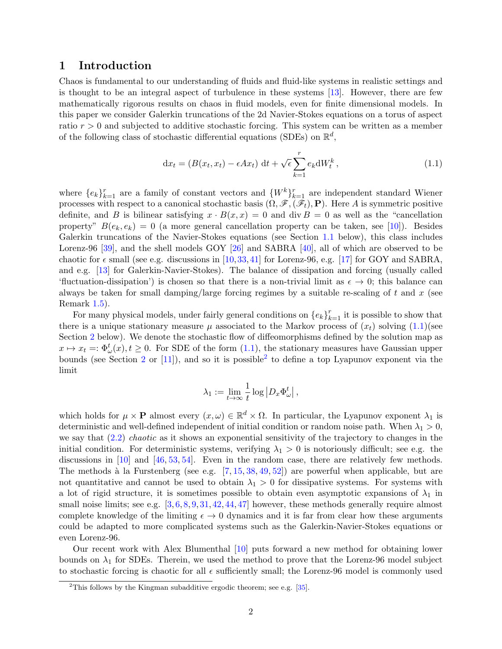### 1 Introduction

Chaos is fundamental to our understanding of fluids and fluid-like systems in realistic settings and is thought to be an integral aspect of turbulence in these systems [\[13\]](#page-38-0). However, there are few mathematically rigorous results on chaos in fluid models, even for finite dimensional models. In this paper we consider Galerkin truncations of the 2d Navier-Stokes equations on a torus of aspect ratio  $r > 0$  and subjected to additive stochastic forcing. This system can be written as a member of the following class of stochastic differential equations (SDEs) on  $\mathbb{R}^d$ ,

<span id="page-1-0"></span>
$$
dx_t = (B(x_t, x_t) - \epsilon A x_t) dt + \sqrt{\epsilon} \sum_{k=1}^r e_k dW_t^k, \qquad (1.1)
$$

where  $\{e_k\}_{k=1}^r$  are a family of constant vectors and  $\{W^k\}_{k=1}^r$  are independent standard Wiener processes with respect to a canonical stochastic basis  $(\Omega, \mathscr{F}, (\mathscr{F}_t), P)$ . Here A is symmetric positive definite, and B is bilinear satisfying  $x \cdot B(x, x) = 0$  and div  $B = 0$  as well as the "cancellation" property"  $B(e_k, e_k) = 0$  (a more general cancellation property can be taken, see [\[10\]](#page-38-1)). Besides Galerkin truncations of the Navier-Stokes equations (see Section [1.1](#page-2-0) below), this class includes Lorenz-96 [\[39\]](#page-39-0), and the shell models GOY [\[26\]](#page-38-2) and SABRA [\[40\]](#page-39-1), all of which are observed to be chaotic for  $\epsilon$  small (see e.g. discussions in [\[10,](#page-38-1)[33,](#page-39-2)[41\]](#page-39-3) for Lorenz-96, e.g. [\[17\]](#page-38-3) for GOY and SABRA, and e.g. [\[13\]](#page-38-0) for Galerkin-Navier-Stokes). The balance of dissipation and forcing (usually called 'fluctuation-dissipation') is chosen so that there is a non-trivial limit as  $\epsilon \to 0$ ; this balance can always be taken for small damping/large forcing regimes by a suitable re-scaling of  $t$  and  $x$  (see Remark [1.5\)](#page-4-0).

For many physical models, under fairly general conditions on  ${e_k}_{k=1}^r$  it is possible to show that there is a unique stationary measure  $\mu$  associated to the Markov process of  $(x_t)$  solving  $(1.1)$ (see Section [2](#page-5-0) below). We denote the stochastic flow of diffeomorphisms defined by the solution map as  $x \mapsto x_t =: \Phi_\omega^t(x), t \geq 0$ . For SDE of the form  $(1.1)$ , the stationary measures have Gaussian upper bounds (see Section [2](#page-1-1) or [\[11\]](#page-38-4)), and so it is possible<sup>2</sup> to define a top Lyapunov exponent via the limit

$$
\lambda_1 := \lim_{t\to\infty}\frac{1}{t}\log\left|D_x\Phi_\omega^t\right|,
$$

which holds for  $\mu \times \mathbf{P}$  almost every  $(x,\omega) \in \mathbb{R}^d \times \Omega$ . In particular, the Lyapunov exponent  $\lambda_1$  is deterministic and well-defined independent of initial condition or random noise path. When  $\lambda_1 > 0$ , we say that  $(2.2)$  *chaotic* as it shows an exponential sensitivity of the trajectory to changes in the initial condition. For deterministic systems, verifying  $\lambda_1 > 0$  is notoriously difficult; see e.g. the discussions in [\[10\]](#page-38-1) and [\[46,](#page-39-4) [53,](#page-39-5) [54\]](#page-39-6). Even in the random case, there are relatively few methods. The methods à la Furstenberg (see e.g.  $[7, 15, 38, 49, 52]$  $[7, 15, 38, 49, 52]$  $[7, 15, 38, 49, 52]$  $[7, 15, 38, 49, 52]$  $[7, 15, 38, 49, 52]$  $[7, 15, 38, 49, 52]$  $[7, 15, 38, 49, 52]$  $[7, 15, 38, 49, 52]$ ) are powerful when applicable, but are not quantitative and cannot be used to obtain  $\lambda_1 > 0$  for dissipative systems. For systems with a lot of rigid structure, it is sometimes possible to obtain even asymptotic expansions of  $\lambda_1$  in small noise limits; see e.g.  $[3, 6, 8, 9, 31, 42, 44, 47]$  $[3, 6, 8, 9, 31, 42, 44, 47]$  $[3, 6, 8, 9, 31, 42, 44, 47]$  $[3, 6, 8, 9, 31, 42, 44, 47]$  $[3, 6, 8, 9, 31, 42, 44, 47]$  $[3, 6, 8, 9, 31, 42, 44, 47]$  $[3, 6, 8, 9, 31, 42, 44, 47]$  $[3, 6, 8, 9, 31, 42, 44, 47]$  $[3, 6, 8, 9, 31, 42, 44, 47]$  $[3, 6, 8, 9, 31, 42, 44, 47]$  $[3, 6, 8, 9, 31, 42, 44, 47]$  $[3, 6, 8, 9, 31, 42, 44, 47]$  $[3, 6, 8, 9, 31, 42, 44, 47]$  $[3, 6, 8, 9, 31, 42, 44, 47]$  however, these methods generally require almost complete knowledge of the limiting  $\epsilon \to 0$  dynamics and it is far from clear how these arguments could be adapted to more complicated systems such as the Galerkin-Navier-Stokes equations or even Lorenz-96.

Our recent work with Alex Blumenthal [\[10\]](#page-38-1) puts forward a new method for obtaining lower bounds on  $\lambda_1$  for SDEs. Therein, we used the method to prove that the Lorenz-96 model subject to stochastic forcing is chaotic for all  $\epsilon$  sufficiently small; the Lorenz-96 model is commonly used

<span id="page-1-1"></span><sup>&</sup>lt;sup>2</sup>This follows by the Kingman subadditive ergodic theorem; see e.g.  $[35]$ .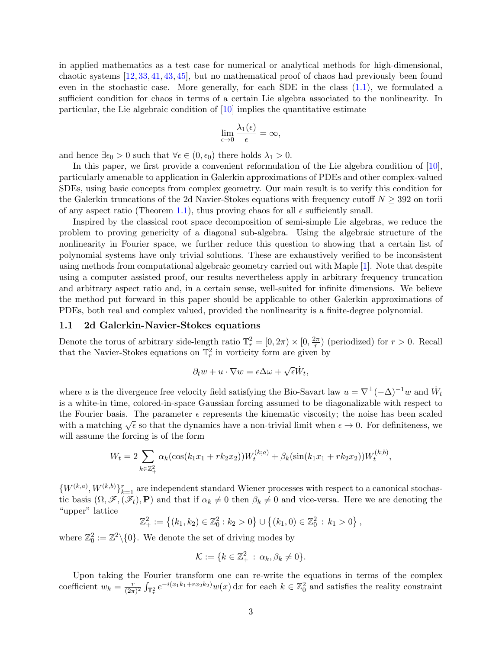in applied mathematics as a test case for numerical or analytical methods for high-dimensional, chaotic systems [\[12,](#page-38-11) [33,](#page-39-2) [41,](#page-39-3) [43,](#page-39-15) [45\]](#page-39-16), but no mathematical proof of chaos had previously been found even in the stochastic case. More generally, for each SDE in the class [\(1.1\)](#page-1-0), we formulated a sufficient condition for chaos in terms of a certain Lie algebra associated to the nonlinearity. In particular, the Lie algebraic condition of [\[10\]](#page-38-1) implies the quantitative estimate

$$
\lim_{\epsilon \to 0} \frac{\lambda_1(\epsilon)}{\epsilon} = \infty,
$$

and hence  $\exists \epsilon_0 > 0$  such that  $\forall \epsilon \in (0, \epsilon_0)$  there holds  $\lambda_1 > 0$ .

In this paper, we first provide a convenient reformulation of the Lie algebra condition of [\[10\]](#page-38-1), particularly amenable to application in Galerkin approximations of PDEs and other complex-valued SDEs, using basic concepts from complex geometry. Our main result is to verify this condition for the Galerkin truncations of the 2d Navier-Stokes equations with frequency cutoff  $N \geq 392$  on torii of any aspect ratio (Theorem [1.1\)](#page-4-1), thus proving chaos for all  $\epsilon$  sufficiently small.

Inspired by the classical root space decomposition of semi-simple Lie algebras, we reduce the problem to proving genericity of a diagonal sub-algebra. Using the algebraic structure of the nonlinearity in Fourier space, we further reduce this question to showing that a certain list of polynomial systems have only trivial solutions. These are exhaustively verified to be inconsistent using methods from computational algebraic geometry carried out with Maple [\[1\]](#page-38-12). Note that despite using a computer assisted proof, our results nevertheless apply in arbitrary frequency truncation and arbitrary aspect ratio and, in a certain sense, well-suited for infinite dimensions. We believe the method put forward in this paper should be applicable to other Galerkin approximations of PDEs, both real and complex valued, provided the nonlinearity is a finite-degree polynomial.

### <span id="page-2-0"></span>1.1 2d Galerkin-Navier-Stokes equations

Denote the torus of arbitrary side-length ratio  $\mathbb{T}_r^2 = [0, 2\pi) \times [0, \frac{2\pi}{r}]$  $\frac{2\pi}{r}$ ) (periodized) for  $r > 0$ . Recall that the Navier-Stokes equations on  $\mathbb{T}_r^2$  in vorticity form are given by

$$
\partial_t w + u \cdot \nabla w = \epsilon \Delta \omega + \sqrt{\epsilon} \dot{W}_t,
$$

where u is the divergence free velocity field satisfying the Bio-Savart law  $u = \nabla^{\perp}(-\Delta)^{-1}w$  and  $\dot{W}_t$ is a white-in time, colored-in-space Gaussian forcing assumed to be diagonalizable with respect to the Fourier basis. The parameter  $\epsilon$  represents the kinematic viscosity; the noise has been scaled with a matching  $\sqrt{\epsilon}$  so that the dynamics have a non-trivial limit when  $\epsilon \to 0$ . For definiteness, we will assume the forcing is of the form

$$
W_t = 2 \sum_{k \in \mathbb{Z}_+^2} \alpha_k (\cos(k_1 x_1 + r k_2 x_2)) W_t^{(k;a)} + \beta_k (\sin(k_1 x_1 + r k_2 x_2)) W_t^{(k;b)},
$$

 ${W^{(k,a)}, W^{(k,b)}\}_{k=1}^r$  are independent standard Wiener processes with respect to a canonical stochastic basis  $(\Omega, \mathscr{F},(\mathscr{F}_t), P)$  and that if  $\alpha_k \neq 0$  then  $\beta_k \neq 0$  and vice-versa. Here we are denoting the "upper" lattice

$$
\mathbb{Z}_{+}^{2} := \{(k_1, k_2) \in \mathbb{Z}_{0}^{2} : k_2 > 0\} \cup \{(k_1, 0) \in \mathbb{Z}_{0}^{2} : k_1 > 0\},\
$$

where  $\mathbb{Z}_0^2 := \mathbb{Z}^2 \setminus \{0\}$ . We denote the set of driving modes by

$$
\mathcal{K} := \{k \in \mathbb{Z}_+^2 \,:\, \alpha_k, \beta_k \neq 0\}.
$$

Upon taking the Fourier transform one can re-write the equations in terms of the complex coefficient  $w_k = \frac{r}{(2\pi)}$  $\frac{r}{(2\pi)^2} \int_{\mathbb{T}_r^2} e^{-i(x_1 k_1 + rx_2 k_2)} w(x) dx$  for each  $k \in \mathbb{Z}_0^2$  and satisfies the reality constraint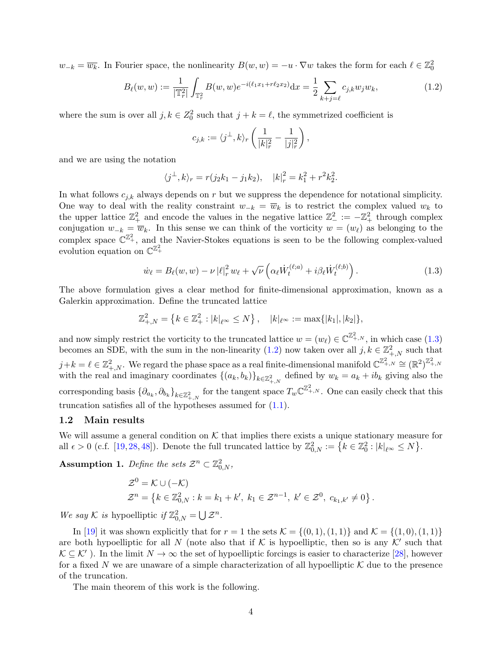$w_{-k} = \overline{w_k}$ . In Fourier space, the nonlinearity  $B(w, w) = -u \cdot \nabla w$  takes the form for each  $\ell \in \mathbb{Z}_0^2$ 

$$
B_{\ell}(w, w) := \frac{1}{|\mathbb{T}_r^2|} \int_{\mathbb{T}_r^2} B(w, w) e^{-i(\ell_1 x_1 + r\ell_2 x_2)} dx = \frac{1}{2} \sum_{k+j=\ell} c_{j,k} w_j w_k,
$$
\n(1.2)

where the sum is over all  $j, k \in \mathbb{Z}_0^2$  such that  $j + k = \ell$ , the symmetrized coefficient is

<span id="page-3-1"></span><span id="page-3-0"></span>
$$
c_{j,k} := \langle j^{\perp}, k \rangle_r \left( \frac{1}{|k|_r^2} - \frac{1}{|j|_r^2} \right),
$$

and we are using the notation

$$
\langle j^{\perp}, k \rangle_r = r(j_2k_1 - j_1k_2), \quad |k|_r^2 = k_1^2 + r^2k_2^2.
$$

In what follows  $c_{j,k}$  always depends on r but we suppress the dependence for notational simplicity. One way to deal with the reality constraint  $w_{-k} = \overline{w}_k$  is to restrict the complex valued  $w_k$  to the upper lattice  $\mathbb{Z}_+^2$  and encode the values in the negative lattice  $\mathbb{Z}_-^2 := -\mathbb{Z}_+^2$  through complex conjugation  $w_{-k} = \overline{w}_k$ . In this sense we can think of the vorticity  $w = (w_\ell)$  as belonging to the complex space  $\mathbb{C}^{\mathbb{Z}^2_+}$ , and the Navier-Stokes equations is seen to be the following complex-valued evolution equation on  $\mathbb{C}^{\mathbb{Z}_+^2}$ 

$$
\dot{w}_{\ell} = B_{\ell}(w, w) - \nu |\ell|_r^2 w_{\ell} + \sqrt{\nu} \left( \alpha_{\ell} \dot{W}_t^{(\ell; a)} + i \beta_{\ell} \dot{W}_t^{(\ell; b)} \right).
$$
\n(1.3)

The above formulation gives a clear method for finite-dimensional approximation, known as a Galerkin approximation. Define the truncated lattice

$$
\mathbb{Z}_{+,N}^2 = \left\{ k \in \mathbb{Z}_+^2 : |k|_{\ell^\infty} \le N \right\}, \quad |k|_{\ell^\infty} := \max\{ |k_1|, |k_2| \},
$$

and now simply restrict the vorticity to the truncated lattice  $w = (w_{\ell}) \in \mathbb{C}^{\mathbb{Z}^2_{+,N}}$ , in which case  $(1.3)$ becomes an SDE, with the sum in the non-linearity [\(1.2\)](#page-3-1) now taken over all  $j, k \in \mathbb{Z}_{+,N}^2$  such that  $j+k=\ell\in\mathbb{Z}^2_{+,N}.$  We regard the phase space as a real finite-dimensional manifold  $\mathbb{C}^{\mathbb{Z}^2_{+,N}}\cong(\mathbb{R}^2)^{\mathbb{Z}^2_{+,N}}$ with the real and imaginary coordinates  $\{(a_k, b_k)\}_{k \in \mathbb{Z}_{+,N}^2}$  defined by  $w_k = a_k + ib_k$  giving also the corresponding basis  $\{\partial_{a_k}, \partial_{b_k}\}_{k \in \mathbb{Z}_{++N}^2}$  for the tangent space  $T_w \mathbb{C}^{\mathbb{Z}_{+,N}^2}$ . One can easily check that this truncation satisfies all of the hypotheses assumed for  $(1.1)$ .

#### 1.2 Main results

We will assume a general condition on  $K$  that implies there exists a unique stationary measure for all  $\epsilon > 0$  (c.f. [\[19,](#page-38-13) [28,](#page-39-17) [48\]](#page-39-18)). Denote the full truncated lattice by  $\mathbb{Z}_{0,N}^2 := \left\{ k \in \mathbb{Z}_0^2 : |k|_{\ell^{\infty}} \leq N \right\}$ .

<span id="page-3-2"></span>**Assumption 1.** Define the sets  $\mathcal{Z}^n \subset \mathbb{Z}_{0,N}^2$ ,

$$
\mathcal{Z}^0 = \mathcal{K} \cup (-\mathcal{K}) \n\mathcal{Z}^n = \{ k \in \mathbb{Z}_{0,N}^2 : k = k_1 + k', \ k_1 \in \mathcal{Z}^{n-1}, \ k' \in \mathcal{Z}^0, \ c_{k_1,k'} \neq 0 \}.
$$

We say K is hypoelliptic if  $\mathbb{Z}_{0,N}^2 = \bigcup \mathcal{Z}^n$ .

In [\[19\]](#page-38-13) it was shown explicitly that for  $r = 1$  the sets  $\mathcal{K} = \{(0, 1), (1, 1)\}\$  and  $\mathcal{K} = \{(1, 0), (1, 1)\}\$ are both hypoelliptic for all N (note also that if K is hypoelliptic, then so is any  $K'$  such that  $\mathcal{K} \subseteq \mathcal{K}'$ ). In the limit  $N \to \infty$  the set of hypoelliptic forcings is easier to characterize [\[28\]](#page-39-17), however for a fixed N we are unaware of a simple characterization of all hypoelliptic  $K$  due to the presence of the truncation.

The main theorem of this work is the following.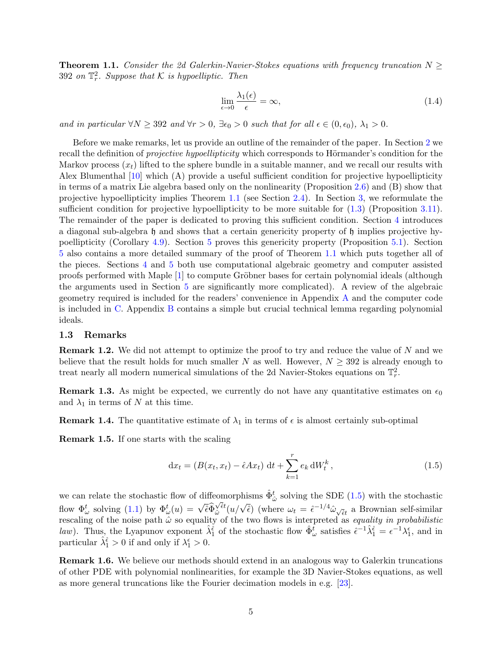<span id="page-4-1"></span>**Theorem 1.1.** Consider the 2d Galerkin-Navier-Stokes equations with frequency truncation  $N \geq$ 392 on  $\mathbb{T}_r^2$ . Suppose that K is hypoelliptic. Then

<span id="page-4-3"></span>
$$
\lim_{\epsilon \to 0} \frac{\lambda_1(\epsilon)}{\epsilon} = \infty, \tag{1.4}
$$

and in particular  $\forall N \geq 392$  and  $\forall r > 0$ ,  $\exists \epsilon_0 > 0$  such that for all  $\epsilon \in (0, \epsilon_0)$ ,  $\lambda_1 > 0$ .

Before we make remarks, let us provide an outline of the remainder of the paper. In Section [2](#page-5-0) we recall the definition of *projective hypoellipticity* which corresponds to Hörmander's condition for the Markov process  $(x_t)$  lifted to the sphere bundle in a suitable manner, and we recall our results with Alex Blumenthal [\[10\]](#page-38-1) which (A) provide a useful sufficient condition for projective hypoellipticity in terms of a matrix Lie algebra based only on the nonlinearity (Proposition [2.6\)](#page-8-0) and (B) show that projective hypoellipticity implies Theorem [1.1](#page-4-1) (see Section [2.4\)](#page-9-0). In Section [3,](#page-11-0) we reformulate the sufficient condition for projective hypoellipticity to be more suitable for  $(1.3)$  (Proposition [3.11\)](#page-15-0). The remainder of the paper is dedicated to proving this sufficient condition. Section [4](#page-16-0) introduces a diagonal sub-algebra h and shows that a certain genericity property of h implies projective hypoellipticity (Corollary [4.9\)](#page-19-0). Section [5](#page-21-0) proves this genericity property (Proposition [5.1\)](#page-21-1). Section [5](#page-21-0) also contains a more detailed summary of the proof of Theorem [1.1](#page-4-1) which puts together all of the pieces. Sections [4](#page-16-0) and [5](#page-21-0) both use computational algebraic geometry and computer assisted proofs performed with Maple  $[1]$  to compute Gröbner bases for certain polynomial ideals (although the arguments used in Section [5](#page-21-0) are significantly more complicated). A review of the algebraic geometry required is included for the readers' convenience in Appendix [A](#page-29-0) and the computer code is included in [C.](#page-34-0) Appendix [B](#page-32-0) contains a simple but crucial technical lemma regarding polynomial ideals.

#### 1.3 Remarks

**Remark 1.2.** We did not attempt to optimize the proof to try and reduce the value of N and we believe that the result holds for much smaller N as well. However,  $N \geq 392$  is already enough to treat nearly all modern numerical simulations of the 2d Navier-Stokes equations on  $\mathbb{T}_r^2$ .

**Remark 1.3.** As might be expected, we currently do not have any quantitative estimates on  $\epsilon_0$ and  $\lambda_1$  in terms of N at this time.

**Remark 1.4.** The quantitative estimate of  $\lambda_1$  in terms of  $\epsilon$  is almost certainly sub-optimal

<span id="page-4-0"></span>Remark 1.5. If one starts with the scaling

<span id="page-4-2"></span>
$$
dx_t = (B(x_t, x_t) - \hat{\epsilon}Ax_t) dt + \sum_{k=1}^r e_k dW_t^k, \qquad (1.5)
$$

we can relate the stochastic flow of diffeomorphisms  $\hat{\Phi}^t_{\hat{\omega}}$  solving the SDE [\(1.5\)](#page-4-2) with the stochastic flow  $\Phi_{\omega}^{t}$  solving [\(1.1\)](#page-1-0) by  $\Phi_{\omega}^{t}(u) = \sqrt{\hat{\epsilon}}\hat{\Phi}$  $\frac{1}{\sqrt{\hat{\epsilon}}t}$  $\sqrt{\hat{\epsilon}}$  ( $u/\sqrt{\hat{\epsilon}}$ ) (where  $\omega_t = \hat{\epsilon}^{-1/4} \hat{\omega}_{\sqrt{\hat{\epsilon}}t}$  a Brownian self-similar rescaling of the noise path  $\hat{\omega}$  so equality of the two flows is interpreted as *equality in probabilistic* law). Thus, the Lyapunov exponent  $\hat{\lambda}_1^{\hat{\epsilon}}$  of the stochastic flow  $\hat{\Phi}_{\omega}^{\hat{t}}$  satisfies  $\hat{\epsilon}^{-1}\hat{\lambda}_1^{\hat{\epsilon}} = \epsilon^{-1}\lambda_1^{\epsilon}$ , and in particular  $\hat{\lambda}_1^{\hat{\epsilon}} > 0$  if and only if  $\lambda_1^{\epsilon} > 0$ .

Remark 1.6. We believe our methods should extend in an analogous way to Galerkin truncations of other PDE with polynomial nonlinearities, for example the 3D Navier-Stokes equations, as well as more general truncations like the Fourier decimation models in e.g. [\[23\]](#page-38-14).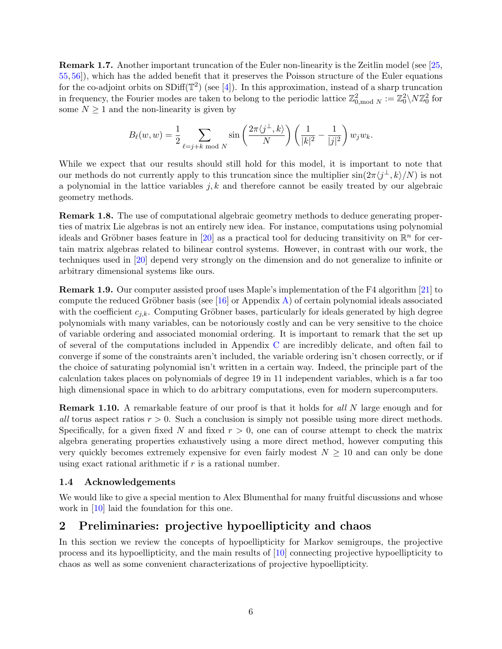Remark 1.7. Another important truncation of the Euler non-linearity is the Zeitlin model (see [\[25,](#page-38-15) [55,](#page-39-19) [56\]](#page-39-20)), which has the added benefit that it preserves the Poisson structure of the Euler equations for the co-adjoint orbits on  $SDiff(\mathbb{T}^2)$  (see [\[4\]](#page-38-16)). In this approximation, instead of a sharp truncation in frequency, the Fourier modes are taken to belong to the periodic lattice  $\mathbb{Z}_{0,\text{mod }N}^2 := \mathbb{Z}_0^2 \setminus N \mathbb{Z}_0^2$  for some  $N \geq 1$  and the non-linearity is given by

$$
B_{\ell}(w,w) = \frac{1}{2} \sum_{\ell=j+k \bmod N} \sin\left(\frac{2\pi\langle j^{\perp},k\rangle}{N}\right) \left(\frac{1}{|k|^2} - \frac{1}{|j|^2}\right) w_j w_k.
$$

While we expect that our results should still hold for this model, it is important to note that our methods do not currently apply to this truncation since the multiplier  $\sin(2\pi \langle j^{\perp}, k \rangle/N)$  is not a polynomial in the lattice variables  $j, k$  and therefore cannot be easily treated by our algebraic geometry methods.

Remark 1.8. The use of computational algebraic geometry methods to deduce generating properties of matrix Lie algebras is not an entirely new idea. For instance, computations using polynomial ideals and Gröbner bases feature in [\[20\]](#page-38-17) as a practical tool for deducing transitivity on  $\mathbb{R}^n$  for certain matrix algebras related to bilinear control systems. However, in contrast with our work, the techniques used in [\[20\]](#page-38-17) depend very strongly on the dimension and do not generalize to infinite or arbitrary dimensional systems like ours.

Remark 1.9. Our computer assisted proof uses Maple's implementation of the F4 algorithm [\[21\]](#page-38-18) to compute the reduced Gröbner basis (see [\[16\]](#page-38-19) or Appendix [A\)](#page-29-0) of certain polynomial ideals associated with the coefficient  $c_{i,k}$ . Computing Gröbner bases, particularly for ideals generated by high degree polynomials with many variables, can be notoriously costly and can be very sensitive to the choice of variable ordering and associated monomial ordering. It is important to remark that the set up of several of the computations included in Appendix [C](#page-34-0) are incredibly delicate, and often fail to converge if some of the constraints aren't included, the variable ordering isn't chosen correctly, or if the choice of saturating polynomial isn't written in a certain way. Indeed, the principle part of the calculation takes places on polynomials of degree 19 in 11 independent variables, which is a far too high dimensional space in which to do arbitrary computations, even for modern supercomputers.

**Remark 1.10.** A remarkable feature of our proof is that it holds for all N large enough and for all torus aspect ratios  $r > 0$ . Such a conclusion is simply not possible using more direct methods. Specifically, for a given fixed N and fixed  $r > 0$ , one can of course attempt to check the matrix algebra generating properties exhaustively using a more direct method, however computing this very quickly becomes extremely expensive for even fairly modest  $N \geq 10$  and can only be done using exact rational arithmetic if  $r$  is a rational number.

#### 1.4 Acknowledgements

We would like to give a special mention to Alex Blumenthal for many fruitful discussions and whose work in [\[10\]](#page-38-1) laid the foundation for this one.

## <span id="page-5-0"></span>2 Preliminaries: projective hypoellipticity and chaos

In this section we review the concepts of hypoellipticity for Markov semigroups, the projective process and its hypoellipticity, and the main results of [\[10\]](#page-38-1) connecting projective hypoellipticity to chaos as well as some convenient characterizations of projective hypoellipticity.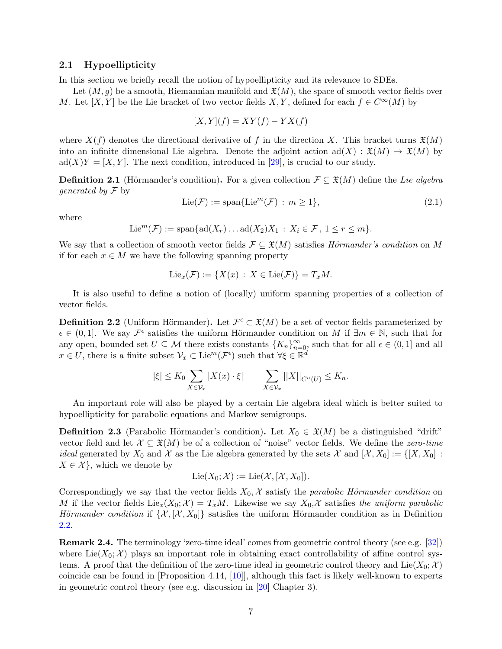#### 2.1 Hypoellipticity

In this section we briefly recall the notion of hypoellipticity and its relevance to SDEs.

Let  $(M, g)$  be a smooth, Riemannian manifold and  $\mathfrak{X}(M)$ , the space of smooth vector fields over M. Let  $[X, Y]$  be the Lie bracket of two vector fields  $X, Y$ , defined for each  $f \in C^{\infty}(M)$  by

<span id="page-6-1"></span>
$$
[X,Y](f) = XY(f) - YX(f)
$$

where  $X(f)$  denotes the directional derivative of f in the direction X. This bracket turns  $\mathfrak{X}(M)$ into an infinite dimensional Lie algebra. Denote the adjoint action  $\text{ad}(X) : \mathfrak{X}(M) \to \mathfrak{X}(M)$  by  $\text{ad}(X)Y = [X, Y]$ . The next condition, introduced in [\[29\]](#page-39-21), is crucial to our study.

**Definition 2.1** (Hörmander's condition). For a given collection  $\mathcal{F} \subseteq \mathfrak{X}(M)$  define the Lie algebra *generated by*  $\mathcal F$  by

$$
\text{Lie}(\mathcal{F}) := \text{span}\{\text{Lie}^m(\mathcal{F}) : m \ge 1\},\tag{2.1}
$$

where

$$
\text{Lie}^m(\mathcal{F}) := \text{span}\{\text{ad}(X_r) \dots \text{ad}(X_2)X_1 : X_i \in \mathcal{F}, 1 \le r \le m\}.
$$

We say that a collection of smooth vector fields  $\mathcal{F} \subseteq \mathfrak{X}(M)$  satisfies Hörmander's condition on M if for each  $x \in M$  we have the following spanning property

$$
\mathrm{Lie}_x(\mathcal{F}) := \{ X(x) : X \in \mathrm{Lie}(\mathcal{F}) \} = T_x M.
$$

It is also useful to define a notion of (locally) uniform spanning properties of a collection of vector fields.

<span id="page-6-0"></span>**Definition 2.2** (Uniform Hörmander). Let  $\mathcal{F}^{\epsilon} \subset \mathfrak{X}(M)$  be a set of vector fields parameterized by  $\epsilon \in (0,1]$ . We say  $\mathcal{F}^{\epsilon}$  satisfies the uniform Hörmander condition on M if  $\exists m \in \mathbb{N}$ , such that for any open, bounded set  $U \subseteq \mathcal{M}$  there exists constants  $\{K_n\}_{n=0}^{\infty}$ , such that for all  $\epsilon \in (0,1]$  and all  $x \in U$ , there is a finite subset  $\mathcal{V}_x \subset \text{Lie}^m(\mathcal{F}^{\epsilon})$  such that  $\forall \xi \in \mathbb{R}^d$ 

$$
|\xi| \le K_0 \sum_{X \in \mathcal{V}_x} |X(x) \cdot \xi| \qquad \sum_{X \in \mathcal{V}_x} ||X||_{C^n(U)} \le K_n.
$$

An important role will also be played by a certain Lie algebra ideal which is better suited to hypoellipticity for parabolic equations and Markov semigroups.

**Definition 2.3** (Parabolic Hörmander's condition). Let  $X_0 \in \mathfrak{X}(M)$  be a distinguished "drift" vector field and let  $\mathcal{X} \subseteq \mathfrak{X}(M)$  be of a collection of "noise" vector fields. We define the zero-time *ideal* generated by  $X_0$  and  $\mathcal X$  as the Lie algebra generated by the sets  $\mathcal X$  and  $[\mathcal X, X_0] := \{[X, X_0] : X_0 = \{[X, X_0] : X_0 = \{[X, X_0] : X_0 = \{[X, X_0] : X_0 = \{[X, X_0] : X_0 = \{[X, X_0] : X_0 = \{[X, X_0] : X_0 = \{[X, X_0] : X_0 = \{[X, X_0$  $X \in \mathcal{X}$ , which we denote by

$$
Lie(X_0; \mathcal{X}) := Lie(\mathcal{X}, [\mathcal{X}, X_0]).
$$

Correspondingly we say that the vector fields  $X_0$ , X satisfy the parabolic Hörmander condition on M if the vector fields  $Lie_x(X_0; X) = T_xM$ . Likewise we say  $X_0, X$  satisfies the uniform parabolic Hörmander condition if  $\{\mathcal{X}, [\mathcal{X}, X_0]\}$  satisfies the uniform Hörmander condition as in Definition [2.2.](#page-6-0)

Remark 2.4. The terminology 'zero-time ideal' comes from geometric control theory (see e.g. [\[32\]](#page-39-22)) where  $Lie(X_0; \mathcal{X})$  plays an important role in obtaining exact controllability of affine control systems. A proof that the definition of the zero-time ideal in geometric control theory and Lie( $X_0; \mathcal{X}$ ) coincide can be found in [Proposition 4.14, [\[10\]](#page-38-1)], although this fact is likely well-known to experts in geometric control theory (see e.g. discussion in [\[20\]](#page-38-17) Chapter 3).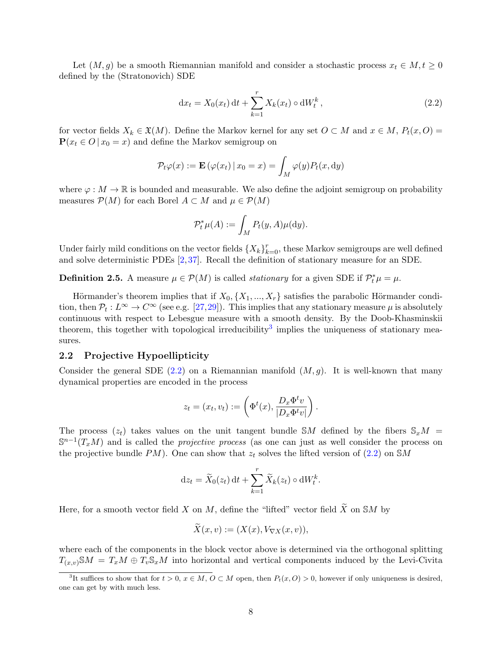Let  $(M, g)$  be a smooth Riemannian manifold and consider a stochastic process  $x_t \in M, t \geq 0$ defined by the (Stratonovich) SDE

<span id="page-7-0"></span>
$$
dx_t = X_0(x_t) dt + \sum_{k=1}^r X_k(x_t) \circ dW_t^k, \qquad (2.2)
$$

for vector fields  $X_k \in \mathfrak{X}(M)$ . Define the Markov kernel for any set  $O \subset M$  and  $x \in M$ ,  $P_t(x, O) =$  $P(x_t \in O \mid x_0 = x)$  and define the Markov semigroup on

$$
\mathcal{P}_t\varphi(x) := \mathbf{E}\left(\varphi(x_t) \,|\, x_0 = x\right) = \int_M \varphi(y) P_t(x, \mathrm{d}y)
$$

where  $\varphi : M \to \mathbb{R}$  is bounded and measurable. We also define the adjoint semigroup on probability measures  $\mathcal{P}(M)$  for each Borel  $A \subset M$  and  $\mu \in \mathcal{P}(M)$ 

$$
\mathcal{P}_t^*\mu(A) := \int_M P_t(y, A)\mu(\mathrm{d}y).
$$

Under fairly mild conditions on the vector fields  $\{X_k\}_{k=0}^r$ , these Markov semigroups are well defined and solve deterministic PDEs [\[2,](#page-38-20) [37\]](#page-39-23). Recall the definition of stationary measure for an SDE.

**Definition 2.5.** A measure  $\mu \in \mathcal{P}(M)$  is called *stationary* for a given SDE if  $\mathcal{P}_t^* \mu = \mu$ .

Hörmander's theorem implies that if  $X_0, \{X_1, ..., X_r\}$  satisfies the parabolic Hörmander condition, then  $\mathcal{P}_t: L^{\infty} \to C^{\infty}$  (see e.g. [\[27,](#page-39-24)[29\]](#page-39-21)). This implies that any stationary measure  $\mu$  is absolutely continuous with respect to Lebesgue measure with a smooth density. By the Doob-Khasminskii theorem, this together with topological irreducibility<sup>[3](#page-7-1)</sup> implies the uniqueness of stationary measures.

#### 2.2 Projective Hypoellipticity

Consider the general SDE [\(2.2\)](#page-7-0) on a Riemannian manifold  $(M, g)$ . It is well-known that many dynamical properties are encoded in the process

$$
z_t = (x_t, v_t) := \left( \Phi^t(x), \frac{D_x \Phi^t v}{|D_x \Phi^t v|} \right).
$$

The process  $(z_t)$  takes values on the unit tangent bundle SM defined by the fibers  $S_xM$  $\mathbb{S}^{n-1}(T_xM)$  and is called the *projective process* (as one can just as well consider the process on the projective bundle PM). One can show that  $z_t$  solves the lifted version of [\(2.2\)](#page-7-0) on SM

$$
\mathrm{d}z_t = \widetilde{X}_0(z_t) \,\mathrm{d}t + \sum_{k=1}^r \widetilde{X}_k(z_t) \circ \mathrm{d}W_t^k.
$$

Here, for a smooth vector field X on M, define the "lifted" vector field  $\widetilde{X}$  on SM by

$$
X(x,v) := (X(x), V_{\nabla X}(x,v)),
$$

where each of the components in the block vector above is determined via the orthogonal splitting  $T_{(x,v)}\mathcal{S}M = T_xM \oplus T_v\mathcal{S}_xM$  into horizontal and vertical components induced by the Levi-Civita

<span id="page-7-1"></span><sup>&</sup>lt;sup>3</sup>It suffices to show that for  $t > 0$ ,  $x \in M$ ,  $O \subset M$  open, then  $P_t(x, O) > 0$ , however if only uniqueness is desired, one can get by with much less.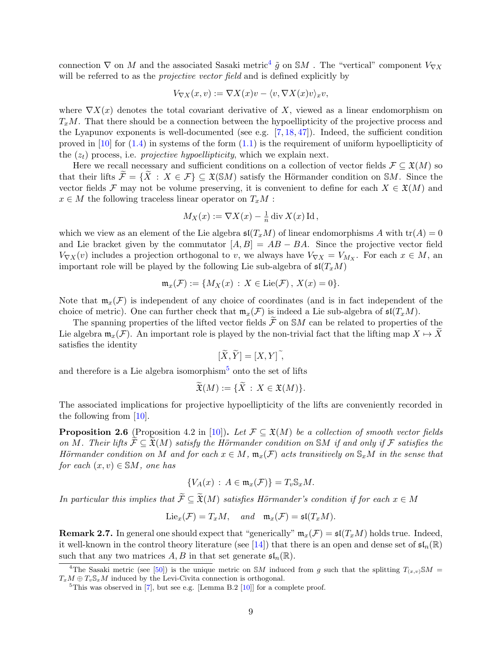connection  $\nabla$  on M and the associated Sasaki metric<sup>[4](#page-8-1)</sup>  $\tilde{g}$  on SM. The "vertical" component  $V_{\nabla X}$ will be referred to as the *projective vector field* and is defined explicitly by

$$
V_{\nabla X}(x,v) := \nabla X(x)v - \langle v, \nabla X(x)v \rangle_x v,
$$

where  $\nabla X(x)$  denotes the total covariant derivative of X, viewed as a linear endomorphism on  $T_xM$ . That there should be a connection between the hypoellipticity of the projective process and the Lyapunov exponents is well-documented (see e.g.  $[7, 18, 47]$  $[7, 18, 47]$  $[7, 18, 47]$  $[7, 18, 47]$ ). Indeed, the sufficient condition proved in  $[10]$  for  $(1.4)$  in systems of the form  $(1.1)$  is the requirement of uniform hypoellipticity of the  $(z_t)$  process, i.e. *projective hypoellipticity*, which we explain next.

Here we recall necessary and sufficient conditions on a collection of vector fields  $\mathcal{F} \subseteq \mathfrak{X}(M)$  so that their lifts  $\widetilde{\mathcal{F}} = {\widetilde{X} : X \in \mathcal{F}} \subseteq \mathfrak{X}(SM)$  satisfy the Hörmander condition on SM. Since the vector fields F may not be volume preserving, it is convenient to define for each  $X \in \mathfrak{X}(M)$  and  $x \in M$  the following traceless linear operator on  $T_xM$ :

$$
M_X(x) := \nabla X(x) - \frac{1}{n} \operatorname{div} X(x) \operatorname{Id},
$$

which we view as an element of the Lie algebra  $\mathfrak{sl}(T_xM)$  of linear endomorphisms A with  $\text{tr}(A) = 0$ and Lie bracket given by the commutator  $[A, B] = AB - BA$ . Since the projective vector field  $V_{\nabla X}(v)$  includes a projection orthogonal to v, we always have  $V_{\nabla X} = V_{M_X}$ . For each  $x \in M$ , and important role will be played by the following Lie sub-algebra of  $\mathfrak{sl}(T_xM)$ 

$$
\mathfrak{m}_x(\mathcal{F}) := \{ M_X(x) : X \in \text{Lie}(\mathcal{F}), X(x) = 0 \}.
$$

Note that  $\mathfrak{m}_x(\mathcal{F})$  is independent of any choice of coordinates (and is in fact independent of the choice of metric). One can further check that  $\mathfrak{m}_x(\mathcal{F})$  is indeed a Lie sub-algebra of  $\mathfrak{sl}(T_xM)$ .

The spanning properties of the lifted vector fields  $\widetilde{\mathcal{F}}$  on SM can be related to properties of the Lie algebra  $\mathfrak{m}_x(\mathcal{F})$ . An important role is played by the non-trivial fact that the lifting map  $X \mapsto X$ satisfies the identity

$$
[\widetilde{X}, \widetilde{Y}] = [X, Y]^\widetilde{\,}
$$

and therefore is a Lie algebra isomorphism<sup>[5](#page-8-2)</sup> onto the set of lifts

$$
\widetilde{\mathfrak{X}}(M) := \{ \widetilde{X} \,:\, X \in \mathfrak{X}(M) \}.
$$

The associated implications for projective hypoellipticity of the lifts are conveniently recorded in the following from [\[10\]](#page-38-1).

<span id="page-8-0"></span>**Proposition 2.6** (Proposition 4.2 in [\[10\]](#page-38-1)). Let  $\mathcal{F} \subseteq \mathfrak{X}(M)$  be a collection of smooth vector fields on M. Their lifts  $\mathcal{F} \subseteq \mathfrak{X}(M)$  satisfy the Hörmander condition on SM if and only if F satisfies the Hörmander condition on M and for each  $x \in M$ ,  $\mathfrak{m}_x(\mathcal{F})$  acts transitively on  $\mathbb{S}_xM$  in the sense that for each  $(x, v) \in SM$ , one has

$$
\{V_A(x) : A \in \mathfrak{m}_x(\mathcal{F})\} = T_v \mathbb{S}_x M.
$$

In particular this implies that  $\widetilde{\mathcal{F}} \subseteq \widetilde{\mathfrak{X}}(M)$  satisfies Hörmander's condition if for each  $x \in M$ 

$$
\mathrm{Lie}_x(\mathcal{F})=T_xM, \quad \text{and} \quad \mathfrak{m}_x(\mathcal{F})=\mathfrak{sl}(T_xM).
$$

**Remark 2.7.** In general one should expect that "generically"  $\mathfrak{m}_x(\mathcal{F}) = \mathfrak{sl}(T_xM)$  holds true. Indeed, it well-known in the control theory literature (see [\[14\]](#page-38-22)) that there is an open and dense set of  $\mathfrak{sl}_n(\mathbb{R})$ such that any two matrices A, B in that set generate  $\mathfrak{sl}_n(\mathbb{R})$ .

<span id="page-8-3"></span><span id="page-8-1"></span><sup>&</sup>lt;sup>4</sup>The Sasaki metric (see [\[50\]](#page-39-25)) is the unique metric on SM induced from g such that the splitting  $T_{(x,v)}$ SM =  $T_xM \oplus T_v\mathbb{S}_xM$  induced by the Levi-Civita connection is orthogonal.

<span id="page-8-2"></span><sup>&</sup>lt;sup>5</sup>This was observed in  $[7]$ , but see e.g. [Lemma B.2  $[10]$ ] for a complete proof.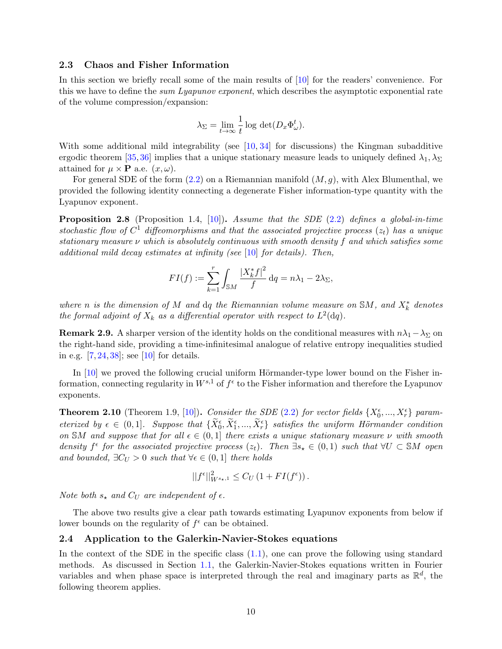#### 2.3 Chaos and Fisher Information

In this section we briefly recall some of the main results of [\[10\]](#page-38-1) for the readers' convenience. For this we have to define the *sum Lyapunov exponent*, which describes the asymptotic exponential rate of the volume compression/expansion:

$$
\lambda_{\Sigma} = \lim_{t \to \infty} \frac{1}{t} \log \det(D_x \Phi_{\omega}^t).
$$

With some additional mild integrability (see  $[10, 34]$  $[10, 34]$  for discussions) the Kingman subadditive ergodic theorem [\[35,](#page-39-14) [36\]](#page-39-27) implies that a unique stationary measure leads to uniquely defined  $\lambda_1, \lambda_\Sigma$ attained for  $\mu \times \mathbf{P}$  a.e.  $(x,\omega)$ .

For general SDE of the form  $(2.2)$  on a Riemannian manifold  $(M, g)$ , with Alex Blumenthal, we provided the following identity connecting a degenerate Fisher information-type quantity with the Lyapunov exponent.

<span id="page-9-1"></span>**Proposition 2.8** (Proposition 1.4, [\[10\]](#page-38-1)). Assume that the SDE [\(2.2\)](#page-7-0) defines a global-in-time stochastic flow of  $C^1$  diffeomorphisms and that the associated projective process  $(z_t)$  has a unique stationary measure  $\nu$  which is absolutely continuous with smooth density f and which satisfies some additional mild decay estimates at infinity (see [\[10\]](#page-38-1) for details). Then,

$$
FI(f) := \sum_{k=1}^r \int_{\mathbb{S}M} \frac{|X_k^* f|^2}{f} dq = n\lambda_1 - 2\lambda_{\Sigma},
$$

where n is the dimension of M and dq the Riemannian volume measure on  $\mathbb{S}M$ , and  $X_k^*$  denotes the formal adjoint of  $X_k$  as a differential operator with respect to  $L^2(\text{d}q)$ .

**Remark 2.9.** A sharper version of the identity holds on the conditional measures with  $n\lambda_1 - \lambda_{\Sigma}$  on the right-hand side, providing a time-infinitesimal analogue of relative entropy inequalities studied in e.g.  $[7, 24, 38]$  $[7, 24, 38]$  $[7, 24, 38]$  $[7, 24, 38]$ ; see  $[10]$  for details.

In  $[10]$  we proved the following crucial uniform Hörmander-type lower bound on the Fisher information, connecting regularity in  $W^{s,1}$  of  $f^{\epsilon}$  to the Fisher information and therefore the Lyapunov exponents.

<span id="page-9-2"></span>**Theorem 2.10** (Theorem 1.9, [\[10\]](#page-38-1)). Consider the SDE [\(2.2\)](#page-7-0) for vector fields  $\{X_0^{\epsilon},...,X_r^{\epsilon}\}$  parameterized by  $\epsilon \in (0,1]$ . Suppose that  $\{\widetilde{X}_0^{\epsilon}, \widetilde{X}_1^{\epsilon}, ..., \widetilde{X}_r^{\epsilon}\}$  satisfies the uniform Hörmander condition on SM and suppose that for all  $\epsilon \in (0,1]$  there exists a unique stationary measure  $\nu$  with smooth density  $f^{\epsilon}$  for the associated projective process  $(z_t)$ . Then  $\exists s_{\star} \in (0,1)$  such that  $\forall U \subset SM$  open and bounded,  $\exists C_U > 0$  such that  $\forall \epsilon \in (0,1]$  there holds

$$
||f^{\epsilon}||_{W^{s_{\star},1}}^{2} \leq C_{U} \left(1 + FI(f^{\epsilon})\right).
$$

Note both  $s_{\star}$  and  $C_U$  are independent of  $\epsilon$ .

The above two results give a clear path towards estimating Lyapunov exponents from below if lower bounds on the regularity of  $f^{\epsilon}$  can be obtained.

#### <span id="page-9-0"></span>2.4 Application to the Galerkin-Navier-Stokes equations

In the context of the SDE in the specific class [\(1.1\)](#page-1-0), one can prove the following using standard methods. As discussed in Section [1.1,](#page-2-0) the Galerkin-Navier-Stokes equations written in Fourier variables and when phase space is interpreted through the real and imaginary parts as  $\mathbb{R}^d$ , the following theorem applies.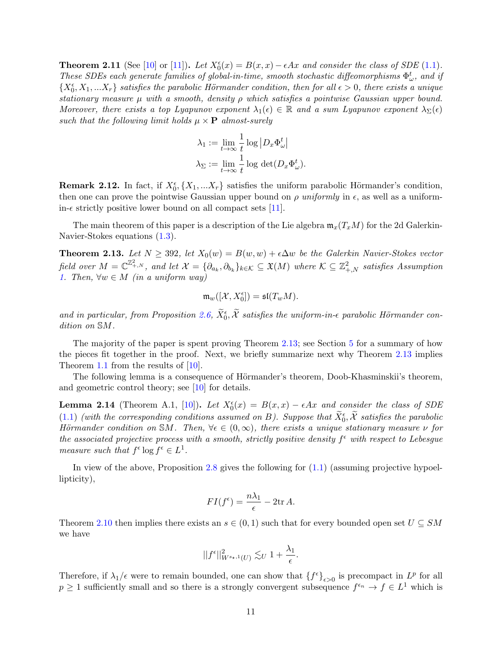**Theorem 2.11** (See [\[10\]](#page-38-1) or [\[11\]](#page-38-4)). Let  $X_0^{\epsilon}(x) = B(x, x) - \epsilon Ax$  and consider the class of SDE [\(1.1\)](#page-1-0). These SDEs each generate families of global-in-time, smooth stochastic diffeomorphisms  $\Phi_{\omega}^{t}$ , and if  $\{X_0^{\epsilon}, X_1, ... X_r\}$  satisfies the parabolic Hörmander condition, then for all  $\epsilon > 0$ , there exists a unique stationary measure  $\mu$  with a smooth, density  $\rho$  which satisfies a pointwise Gaussian upper bound. Moreover, there exists a top Lyapunov exponent  $\lambda_1(\epsilon) \in \mathbb{R}$  and a sum Lyapunov exponent  $\lambda_{\Sigma}(\epsilon)$ such that the following limit holds  $\mu \times \mathbf{P}$  almost-surely

$$
\lambda_1 := \lim_{t \to \infty} \frac{1}{t} \log \left| D_x \Phi_\omega^t \right|
$$
  

$$
\lambda_\Sigma := \lim_{t \to \infty} \frac{1}{t} \log \det(D_x \Phi_\omega^t).
$$

**Remark 2.12.** In fact, if  $X_0^{\epsilon}$ ,  $\{X_1, ..., X_r\}$  satisfies the uniform parabolic Hörmander's condition, then one can prove the pointwise Gaussian upper bound on  $\rho$  uniformly in  $\epsilon$ , as well as a uniformin- $\epsilon$  strictly positive lower bound on all compact sets [\[11\]](#page-38-4).

The main theorem of this paper is a description of the Lie algebra  $\mathfrak{m}_x(T_xM)$  for the 2d Galerkin-Navier-Stokes equations [\(1.3\)](#page-3-0).

<span id="page-10-0"></span>**Theorem 2.13.** Let  $N \ge 392$ , let  $X_0(w) = B(w, w) + \epsilon \Delta w$  be the Galerkin Navier-Stokes vector field over  $M=\mathbb{C}^{\mathbb{Z}^2_{+,N}}$ , and let  $\mathcal{X}=\{\partial_{a_k},\partial_{b_k}\}_{k\in\mathcal{K}}\subseteq \mathfrak{X}(M)$  where  $\mathcal{K}\subseteq\mathbb{Z}^2_{+,N}$  satisfies Assumption [1.](#page-3-2) Then,  $\forall w \in M$  (in a uniform way)

$$
\mathfrak{m}_w([\mathcal{X},X_0^\epsilon])=\mathfrak{sl}(T_wM).
$$

and in particular, from Proposition [2.6,](#page-8-0)  $\widetilde{X}_0^{\epsilon}$ ,  $\widetilde{X}$  satisfies the uniform-in- $\epsilon$  parabolic Hörmander condition on SM.

The majority of the paper is spent proving Theorem [2.13;](#page-10-0) see Section [5](#page-21-0) for a summary of how the pieces fit together in the proof. Next, we briefly summarize next why Theorem [2.13](#page-10-0) implies Theorem [1.1](#page-4-1) from the results of [\[10\]](#page-38-1).

The following lemma is a consequence of Hörmander's theorem, Doob-Khasminskii's theorem, and geometric control theory; see [\[10\]](#page-38-1) for details.

**Lemma 2.14** (Theorem A.1, [\[10\]](#page-38-1)). Let  $X_0^{\epsilon}(x) = B(x,x) - \epsilon Ax$  and consider the class of SDE  $(1.1)$  (with the corresponding conditions assumed on B). Suppose that  $\widetilde{X}_0^{\epsilon}, \widetilde{\mathcal{X}}$  satisfies the parabolic Hörmander condition on SM. Then,  $\forall \epsilon \in (0,\infty)$ , there exists a unique stationary measure  $\nu$  for the associated projective process with a smooth, strictly positive density  $f^{\epsilon}$  with respect to Lebesgue measure such that  $f^{\epsilon} \log f^{\epsilon} \in L^{1}$ .

In view of the above, Proposition [2.8](#page-9-1) gives the following for [\(1.1\)](#page-1-0) (assuming projective hypoellipticity),

$$
FI(f^{\epsilon}) = \frac{n\lambda_1}{\epsilon} - 2\text{tr}\,A.
$$

Theorem [2.10](#page-9-2) then implies there exists an  $s \in (0,1)$  such that for every bounded open set  $U \subseteq SM$ we have

$$
||f^{\epsilon}||_{W^{s_{\star},1}(U)}^2 \lesssim_U 1 + \frac{\lambda_1}{\epsilon}.
$$

Therefore, if  $\lambda_1/\epsilon$  were to remain bounded, one can show that  $\{f^{\epsilon}\}_{\epsilon>0}$  is precompact in  $L^p$  for all  $p \geq 1$  sufficiently small and so there is a strongly convergent subsequence  $f^{\epsilon_n} \to f \in L^1$  which is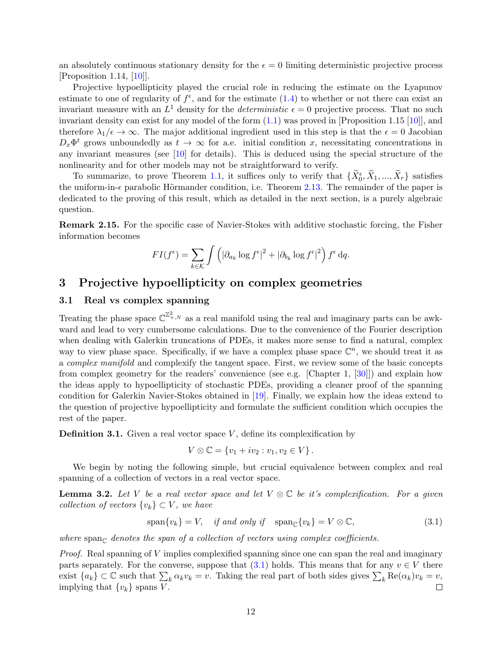an absolutely continuous stationary density for the  $\epsilon = 0$  limiting deterministic projective process  $[Proposition 1.14, [10]].$  $[Proposition 1.14, [10]].$  $[Proposition 1.14, [10]].$ 

Projective hypoellipticity played the crucial role in reducing the estimate on the Lyapunov estimate to one of regularity of  $f^{\epsilon}$ , and for the estimate [\(1.4\)](#page-4-3) to whether or not there can exist an invariant measure with an  $L^1$  density for the *deterministic*  $\epsilon = 0$  projective process. That no such invariant density can exist for any model of the form [\(1.1\)](#page-1-0) was proved in [Proposition 1.15 [\[10\]](#page-38-1)], and therefore  $\lambda_1/\epsilon \to \infty$ . The major additional ingredient used in this step is that the  $\epsilon = 0$  Jacobian  $D_x\Phi^t$  grows unboundedly as  $t \to \infty$  for a.e. initial condition x, necessitating concentrations in any invariant measures (see  $[10]$  for details). This is deduced using the special structure of the nonlinearity and for other models may not be straightforward to verify.

To summarize, to prove Theorem [1.1,](#page-4-1) it suffices only to verify that  $\{\tilde{X}_0^{\epsilon}, \tilde{X}_1, ..., \tilde{X}_r\}$  satisfies the uniform-in- $\epsilon$  parabolic Hörmander condition, i.e. Theorem [2.13.](#page-10-0) The remainder of the paper is dedicated to the proving of this result, which as detailed in the next section, is a purely algebraic question.

Remark 2.15. For the specific case of Navier-Stokes with additive stochastic forcing, the Fisher information becomes

$$
FI(f^{\epsilon}) = \sum_{k \in \mathcal{K}} \int \left( |\partial_{a_k} \log f^{\epsilon}|^2 + |\partial_{b_k} \log f^{\epsilon}|^2 \right) f^{\epsilon} dq.
$$

## <span id="page-11-0"></span>3 Projective hypoellipticity on complex geometries

### 3.1 Real vs complex spanning

Treating the phase space  $\mathbb{C}^{\mathbb{Z}^2_{+,N}}$  as a real manifold using the real and imaginary parts can be awkward and lead to very cumbersome calculations. Due to the convenience of the Fourier description when dealing with Galerkin truncations of PDEs, it makes more sense to find a natural, complex way to view phase space. Specifically, if we have a complex phase space  $\mathbb{C}^n$ , we should treat it as a complex manifold and complexify the tangent space. First, we review some of the basic concepts from complex geometry for the readers' convenience (see e.g. [Chapter 1, [\[30\]](#page-39-28)]) and explain how the ideas apply to hypoellipticity of stochastic PDEs, providing a cleaner proof of the spanning condition for Galerkin Navier-Stokes obtained in [\[19\]](#page-38-13). Finally, we explain how the ideas extend to the question of projective hypoellipticity and formulate the sufficient condition which occupies the rest of the paper.

**Definition 3.1.** Given a real vector space  $V$ , define its complexification by

<span id="page-11-1"></span>
$$
V\otimes\mathbb{C} = \{v_1 + iv_2 : v_1, v_2 \in V\}.
$$

We begin by noting the following simple, but crucial equivalence between complex and real spanning of a collection of vectors in a real vector space.

<span id="page-11-2"></span>**Lemma 3.2.** Let V be a real vector space and let  $V \otimes \mathbb{C}$  be it's complexification. For a given collection of vectors  $\{v_k\} \subset V$ , we have

$$
\text{span}\{v_k\} = V, \quad \text{if and only if} \quad \text{span}_{\mathbb{C}}\{v_k\} = V \otimes \mathbb{C}, \tag{3.1}
$$

where span<sub>c</sub> denotes the span of a collection of vectors using complex coefficients.

*Proof.* Real spanning of  $V$  implies complexified spanning since one can span the real and imaginary parts separately. For the converse, suppose that  $(3.1)$  holds. This means that for any  $v \in V$  there exist  $\{a_k\} \subset \mathbb{C}$  such that  $\sum_k \alpha_k v_k = v$ . Taking the real part of both sides gives  $\sum_k \text{Re}(\alpha_k)v_k = v$ , implying that  $\{v_k\}$  spans V.  $\Box$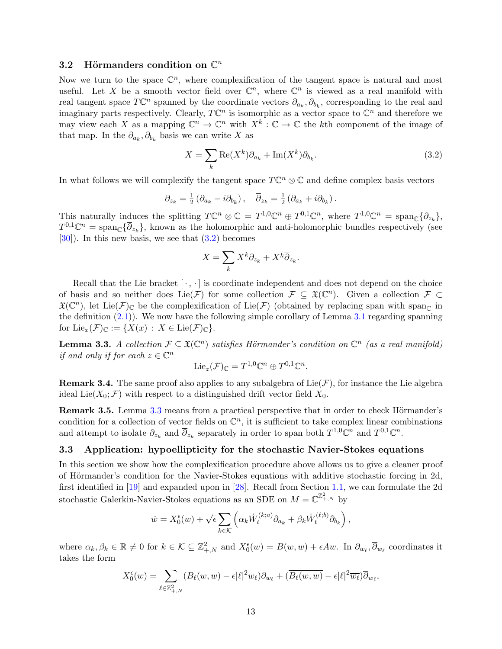## 3.2 Hörmanders condition on  $\mathbb{C}^n$

Now we turn to the space  $\mathbb{C}^n$ , where complexification of the tangent space is natural and most useful. Let X be a smooth vector field over  $\mathbb{C}^n$ , where  $\mathbb{C}^n$  is viewed as a real manifold with real tangent space  $T\mathbb{C}^n$  spanned by the coordinate vectors  $\partial_{a_k}, \partial_{b_k}$ , corresponding to the real and imaginary parts respectively. Clearly,  $T\mathbb{C}^n$  is isomorphic as a vector space to  $\mathbb{C}^n$  and therefore we may view each X as a mapping  $\mathbb{C}^n \to \mathbb{C}^n$  with  $X^k : \mathbb{C} \to \mathbb{C}$  the kth component of the image of that map. In the  $\partial_{a_k}, \partial_{b_k}$  basis we can write X as

<span id="page-12-0"></span>
$$
X = \sum_{k} \text{Re}(X^{k}) \partial_{a_k} + \text{Im}(X^{k}) \partial_{b_k}.
$$
\n(3.2)

In what follows we will complexify the tangent space  $T\mathbb{C}^n \otimes \mathbb{C}$  and define complex basis vectors

$$
\partial_{z_k} = \frac{1}{2} \left( \partial_{a_k} - i \partial_{b_k} \right), \quad \overline{\partial}_{z_k} = \frac{1}{2} \left( \partial_{a_k} + i \partial_{b_k} \right).
$$

This naturally induces the splitting  $T\mathbb{C}^n \otimes \mathbb{C} = T^{1,0}\mathbb{C}^n \oplus T^{0,1}\mathbb{C}^n$ , where  $T^{1,0}\mathbb{C}^n = \text{span}_{\mathbb{C}}\{\partial_{z_k}\},\$  $T^{0,1}\mathbb{C}^n = \text{span}_{\mathbb{C}}\{\overline{\partial}_{z_k}\},\$  known as the holomorphic and anti-holomorphic bundles respectively (see  $[30]$ . In this new basis, we see that  $(3.2)$  becomes

$$
X = \sum_{k} X^{k} \partial_{z_{k}} + \overline{X^{k}} \overline{\partial}_{z_{k}}.
$$

Recall that the Lie bracket  $[\cdot, \cdot]$  is coordinate independent and does not depend on the choice of basis and so neither does  $Lie(\mathcal{F})$  for some collection  $\mathcal{F} \subseteq \mathfrak{X}(\mathbb{C}^n)$ . Given a collection  $\mathcal{F} \subset$  $\mathfrak{X}(\mathbb{C}^n)$ , let Lie( $\mathcal{F})_{\mathbb{C}}$  be the complexification of Lie( $\mathcal{F}$ ) (obtained by replacing span with span<sub>C</sub> in the definition  $(2.1)$ ). We now have the following simple corollary of Lemma [3.1](#page-11-1) regarding spanning for  $\text{Lie}_x(\mathcal{F})_\mathbb{C} := \{X(x) : X \in \text{Lie}(\mathcal{F})_\mathbb{C}\}.$ 

<span id="page-12-1"></span>**Lemma 3.3.** A collection  $\mathcal{F} \subseteq \mathfrak{X}(\mathbb{C}^n)$  satisfies Hörmander's condition on  $\mathbb{C}^n$  (as a real manifold) if and only if for each  $z \in \mathbb{C}^n$ 

$$
\mathrm{Lie}_z(\mathcal{F})_\mathbb{C} = T^{1,0}\mathbb{C}^n \oplus T^{0,1}\mathbb{C}^n.
$$

**Remark 3.4.** The same proof also applies to any subalgebra of  $Lie(\mathcal{F})$ , for instance the Lie algebra ideal Lie( $X_0$ ; F) with respect to a distinguished drift vector field  $X_0$ .

**Remark 3.5.** Lemma [3.3](#page-12-1) means from a practical perspective that in order to check Hörmander's condition for a collection of vector fields on  $\mathbb{C}^n$ , it is sufficient to take complex linear combinations and attempt to isolate  $\partial_{z_k}$  and  $\overline{\partial}_{z_k}$  separately in order to span both  $T^{1,0}\mathbb{C}^n$  and  $T^{0,1}\mathbb{C}^n$ .

#### <span id="page-12-2"></span>3.3 Application: hypoellipticity for the stochastic Navier-Stokes equations

In this section we show how the complexification procedure above allows us to give a cleaner proof of Hörmander's condition for the Navier-Stokes equations with additive stochastic forcing in 2d, first identified in [\[19\]](#page-38-13) and expanded upon in [\[28\]](#page-39-17). Recall from Section [1.1,](#page-2-0) we can formulate the 2d stochastic Galerkin-Navier-Stokes equations as an SDE on  $M = \mathbb{C}^{\mathbb{Z}^2_{+,N}}$  by

$$
\dot{w} = X_0^{\epsilon}(w) + \sqrt{\epsilon} \sum_{k \in \mathcal{K}} \left( \alpha_k \dot{W}_t^{(k;a)} \partial_{a_k} + \beta_k \dot{W}_t^{(\ell;b)} \partial_{b_k} \right),
$$

where  $\alpha_k, \beta_k \in \mathbb{R} \neq 0$  for  $k \in \mathcal{K} \subseteq \mathbb{Z}_{+,N}^2$  and  $X_0^{\epsilon}(w) = B(w, w) + \epsilon A w$ . In  $\partial_{w_\ell}, \overline{\partial}_{w_\ell}$  coordinates it takes the form

$$
X_0^{\epsilon}(w) = \sum_{\ell \in \mathbb{Z}_{+,N}^2} (B_{\ell}(w, w) - \epsilon |\ell|^2 w_{\ell}) \partial_{w_{\ell}} + (\overline{B_{\ell}(w, w)} - \epsilon |\ell|^2 \overline{w_{\ell}}) \overline{\partial}_{w_{\ell}},
$$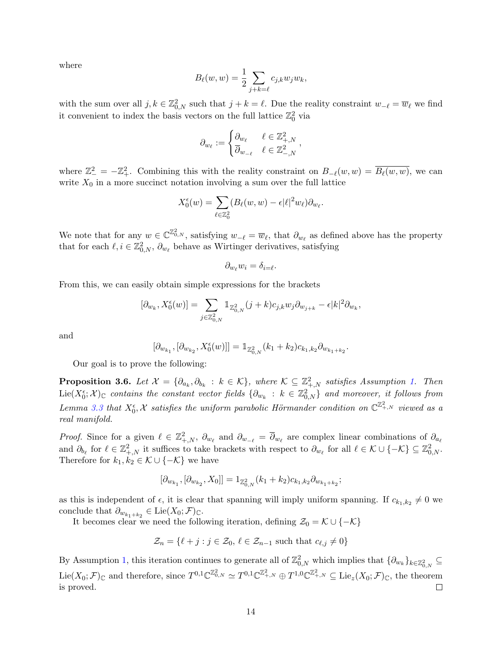where

$$
B_{\ell}(w, w) = \frac{1}{2} \sum_{j+k=\ell} c_{j,k} w_j w_k,
$$

with the sum over all  $j, k \in \mathbb{Z}_{0,N}^2$  such that  $j + k = \ell$ . Due the reality constraint  $w_{-\ell} = \overline{w}_{\ell}$  we find it convenient to index the basis vectors on the full lattice  $\mathbb{Z}_0^2$  via

$$
\partial_{w_{\ell}} := \begin{cases} \partial_{w_{\ell}} & \ell \in \mathbb{Z}^2_{+,N} \\ \overline{\partial}_{w_{-\ell}} & \ell \in \mathbb{Z}^2_{-,N} \end{cases},
$$

where  $\mathbb{Z}_{-}^2 = -\mathbb{Z}_{+}^2$ . Combining this with the reality constraint on  $B_{-\ell}(w, w) = \overline{B_{\ell}(w, w)}$ , we can write  $X_0$  in a more succinct notation involving a sum over the full lattice

$$
X_0^{\epsilon}(w) = \sum_{\ell \in \mathbb{Z}_0^2} (B_{\ell}(w, w) - \epsilon |\ell|^2 w_{\ell}) \partial_{w_{\ell}}.
$$

We note that for any  $w \in \mathbb{C}^{\mathbb{Z}_{0,N}^2}$ , satisfying  $w_{-\ell} = \overline{w}_{\ell}$ , that  $\partial_{w_{\ell}}$  as defined above has the property that for each  $\ell, i \in \mathbb{Z}_{0,N}^2$ ,  $\partial_{w_\ell}$  behave as Wirtinger derivatives, satisfying

$$
\partial_{w_{\ell}} w_i = \delta_{i=\ell}.
$$

From this, we can easily obtain simple expressions for the brackets

$$
[\partial_{w_k},X^\epsilon_0(w)]=\sum_{j\in\mathbb{Z}^2_{0,N}}\mathbb{1}_{\mathbb{Z}^2_{0,N}}(j+k)c_{j,k}w_j\partial_{w_{j+k}}-\epsilon |k|^2\partial_{w_k},
$$

and

$$
[\partial_{w_{k_1}}, [\partial_{w_{k_2}}, X^\epsilon_0(w)]]=\mathbbm{1}_{\mathbb{Z}^2_{0,N}}(k_1+k_2)c_{k_1,k_2}\partial_{w_{k_1+k_2}}.
$$

Our goal is to prove the following:

<span id="page-13-0"></span>**Proposition 3.6.** Let  $\mathcal{X} = \{\partial_{a_k}, \partial_{b_k} : k \in \mathcal{K}\}\$ , where  $\mathcal{K} \subseteq \mathbb{Z}^2_{+,N}$  satisfies Assumption [1.](#page-3-2) Then  $Lie(X_0^{\epsilon};\mathcal{X})_{\mathbb{C}}$  contains the constant vector fields  $\{\partial_{w_k}:k\in\mathbb{Z}_{0,N}^2\}$  and moreover, it follows from Lemma [3.3](#page-12-1) that  $X_0^{\epsilon}$ , X satisfies the uniform parabolic Hörmander condition on  $\mathbb{C}^{\mathbb{Z}^2_+}$  viewed as a real manifold.

*Proof.* Since for a given  $\ell \in \mathbb{Z}^2_{+,N}$ ,  $\partial_{w_\ell}$  and  $\partial_{w_{-\ell}} = \overline{\partial}_{w_\ell}$  are complex linear combinations of  $\partial_{a_\ell}$ and  $\partial_{b_\ell}$  for  $\ell \in \mathbb{Z}_{+,N}^2$  it suffices to take brackets with respect to  $\partial_{w_\ell}$  for all  $\ell \in \mathcal{K} \cup \{-\mathcal{K}\} \subseteq \mathbb{Z}_{0,N}^2$ . Therefore for  $k_1, k_2 \in \mathcal{K} \cup \{-\mathcal{K}\}\$ we have

$$
[\partial_{w_{k_1}}, [\partial_{w_{k_2}}, X_0]]=1_{\mathbb{Z}^2_{0,N}} (k_1+k_2) c_{k_1, k_2} \partial_{w_{k_1+k_2}};
$$

as this is independent of  $\epsilon$ , it is clear that spanning will imply uniform spanning. If  $c_{k_1,k_2} \neq 0$  we conclude that  $\partial_{w_{k_1+k_2}} \in \text{Lie}(X_0; \mathcal{F})_{\mathbb{C}}$ .

It becomes clear we need the following iteration, defining  $\mathcal{Z}_0 = \mathcal{K} \cup \{-\mathcal{K}\}\$ 

$$
\mathcal{Z}_n = \{ \ell + j : j \in \mathcal{Z}_0, \, \ell \in \mathcal{Z}_{n-1} \text{ such that } c_{\ell,j} \neq 0 \}
$$

By Assumption [1,](#page-3-2) this iteration continues to generate all of  $\mathbb{Z}_{0,N}^2$  which implies that  $\{\partial_{w_k}\}_{k\in\mathbb{Z}_{0,N}^2}\subseteq$  $_{0,N}$  $\mathrm{Lie}(X_0; \mathcal{F})_{\mathbb{C}}$  and therefore, since  $T^{0,1}\mathbb{C}^{\mathbb{Z}_{0,N}^2} \simeq T^{0,1}\mathbb{C}^{\mathbb{Z}_{+,N}^2} \oplus T^{1,0}\mathbb{C}^{\mathbb{Z}_{+,N}^2} \subseteq \mathrm{Lie}_z(X_0; \mathcal{F})_{\mathbb{C}}$ , the theorem is proved.  $\Box$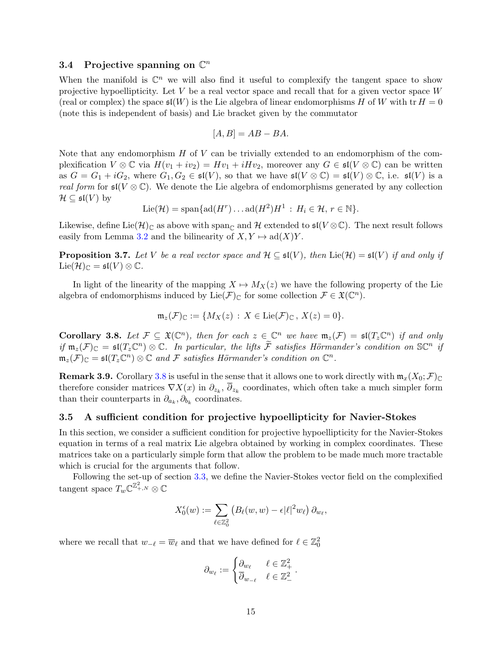## 3.4 Projective spanning on  $\mathbb{C}^n$

When the manifold is  $\mathbb{C}^n$  we will also find it useful to complexify the tangent space to show projective hypoellipticity. Let  $V$  be a real vector space and recall that for a given vector space  $W$ (real or complex) the space  $\mathfrak{sl}(W)$  is the Lie algebra of linear endomorphisms H of W with tr  $H = 0$ (note this is independent of basis) and Lie bracket given by the commutator

$$
[A, B] = AB - BA.
$$

Note that any endomorphism  $H$  of  $V$  can be trivially extended to an endomorphism of the complexification  $V \otimes \mathbb{C}$  via  $H(v_1 + iv_2) = Hv_1 + iHv_2$ , moreover any  $G \in \mathfrak{sl}(V \otimes \mathbb{C})$  can be written as  $G = G_1 + iG_2$ , where  $G_1, G_2 \in \mathfrak{sl}(V)$ , so that we have  $\mathfrak{sl}(V \otimes \mathbb{C}) = \mathfrak{sl}(V) \otimes \mathbb{C}$ , i.e.  $\mathfrak{sl}(V)$  is a real form for  $\mathfrak{sl}(V\otimes\mathbb{C})$ . We denote the Lie algebra of endomorphisms generated by any collection  $\mathcal{H} \subseteq \mathfrak{sl}(V)$  by

$$
\mathrm{Lie}(\mathcal{H}) = \mathrm{span}\{\mathrm{ad}(H^r) \dots \mathrm{ad}(H^2)H^1 : H_i \in \mathcal{H}, r \in \mathbb{N}\}.
$$

Likewise, define Lie $(\mathcal{H})_{\mathbb{C}}$  as above with span<sub> $\mathbb{C}$ </sub> and H extended to  $\mathfrak{sl}(V \otimes \mathbb{C})$ . The next result follows easily from Lemma [3.2](#page-11-2) and the bilinearity of  $X, Y \mapsto ad(X)Y$ .

<span id="page-14-1"></span>**Proposition 3.7.** Let V be a real vector space and  $\mathcal{H} \subseteq \mathfrak{sl}(V)$ , then  $\text{Lie}(\mathcal{H}) = \mathfrak{sl}(V)$  if and only if  $\mathrm{Lie}(\mathcal{H})_{\mathbb{C}} = \mathfrak{sl}(V) \otimes \mathbb{C}.$ 

In light of the linearity of the mapping  $X \mapsto M_X(z)$  we have the following property of the Lie algebra of endomorphisms induced by Lie( $\mathcal{F}$ )<sub>C</sub> for some collection  $\mathcal{F} \in \mathfrak{X}(\mathbb{C}^n)$ .

$$
\mathfrak{m}_z(\mathcal{F})_\mathbb{C} := \{ M_X(z) : X \in \mathrm{Lie}(\mathcal{F})_\mathbb{C} \, , \, X(z) = 0 \}.
$$

<span id="page-14-0"></span>**Corollary 3.8.** Let  $\mathcal{F} \subseteq \mathfrak{X}(\mathbb{C}^n)$ , then for each  $z \in \mathbb{C}^n$  we have  $\mathfrak{m}_z(\mathcal{F}) = \mathfrak{sl}(T_z\mathbb{C}^n)$  if and only if  $\mathfrak{m}_z(\mathcal{F})_\mathbb{C} = \mathfrak{sl}(T_z\mathbb{C}^n) \otimes \mathbb{C}$ . In particular, the lifts  $\widetilde{\mathcal{F}}$  satisfies Hörmander's condition on  $\mathbb{S}\mathbb{C}^n$  if  $\mathfrak{m}_z(\mathcal{F})_\mathbb{C} = \mathfrak{sl}(T_z\mathbb{C}^n) \otimes \mathbb{C}$  and F satisfies Hörmander's condition on  $\mathbb{C}^n$ .

**Remark 3.9.** Corollary [3.8](#page-14-0) is useful in the sense that it allows one to work directly with  $m_x(X_0; \mathcal{F})_C$ therefore consider matrices  $\nabla X(x)$  in  $\partial_{z_k}, \partial_{z_k}$  coordinates, which often take a much simpler form than their counterparts in  $\partial_{a_k}, \partial_{b_k}$  coordinates.

#### 3.5 A sufficient condition for projective hypoellipticity for Navier-Stokes

In this section, we consider a sufficient condition for projective hypoellipticity for the Navier-Stokes equation in terms of a real matrix Lie algebra obtained by working in complex coordinates. These matrices take on a particularly simple form that allow the problem to be made much more tractable which is crucial for the arguments that follow.

Following the set-up of section [3.3,](#page-12-2) we define the Navier-Stokes vector field on the complexified tangent space  $T_w \mathbb{C}^{\mathbb{Z}^2_{+,N}} \otimes \mathbb{C}$ 

$$
X_0^{\epsilon}(w) := \sum_{\ell \in \mathbb{Z}_0^2} \left( B_{\ell}(w, w) - \epsilon |\ell|^2 w_{\ell} \right) \partial_{w_{\ell}},
$$

where we recall that  $w_{-\ell} = \overline{w}_{\ell}$  and that we have defined for  $\ell \in \mathbb{Z}^2_0$ 

$$
\partial_{w_{\ell}} := \begin{cases} \partial_{w_{\ell}} & \ell \in \mathbb{Z}_+^2 \\ \overline{\partial}_{w_{-\ell}} & \ell \in \mathbb{Z}_-^2 \end{cases}.
$$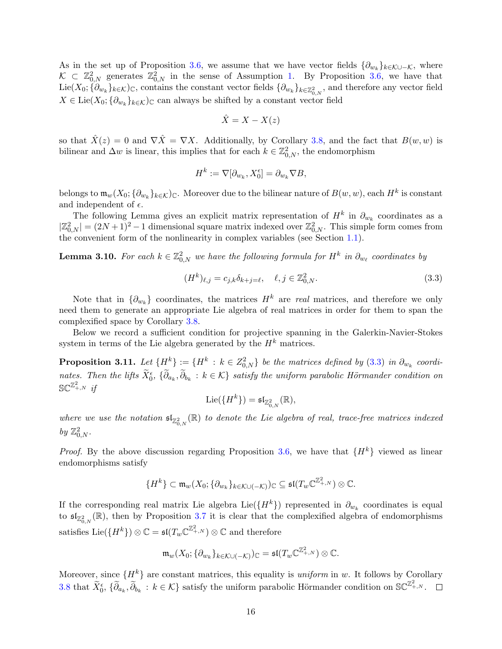As in the set up of Proposition [3.6,](#page-13-0) we assume that we have vector fields  $\{\partial_{w_k}\}_{k \in \mathcal{K} \cup -\mathcal{K}}$ , where  $\mathcal{K} \subset \mathbb{Z}_{0,N}^2$  generates  $\mathbb{Z}_{0,N}^2$  in the sense of Assumption [1.](#page-3-2) By Proposition [3.6,](#page-13-0) we have that  $\text{Lie}(X_0; \{\partial_{w_k}\}_{k\in\mathcal{K}})_{\mathbb{C}}$ , contains the constant vector fields  $\{\partial_{w_k}\}_{k\in\mathbb{Z}_{0,N}^2}$ , and therefore any vector field  $X \in \text{Lie}(X_0; \{ \partial_{w_k} \}_{k \in \mathcal{K}})_{\mathbb{C}}$  can always be shifted by a constant vector field

$$
\hat{X} = X - X(z)
$$

so that  $\hat{X}(z) = 0$  and  $\nabla \hat{X} = \nabla X$ . Additionally, by Corollary [3.8,](#page-14-0) and the fact that  $B(w, w)$  is bilinear and  $\Delta w$  is linear, this implies that for each  $k \in \mathbb{Z}_{0,N}^2$ , the endomorphism

$$
H^k := \nabla[\partial_{w_k}, X_0^{\epsilon}] = \partial_{w_k} \nabla B,
$$

belongs to  $\mathfrak{m}_w(X_0;\{\partial_{w_k}\}_{k\in\mathcal{K}})_{\mathbb{C}}$ . Moreover due to the bilinear nature of  $B(w,w)$ , each  $H^k$  is constant and independent of  $\epsilon$ .

The following Lemma gives an explicit matrix representation of  $H^k$  in  $\partial_{w_k}$  coordinates as a  $|\mathbb{Z}_{0,N}^2| = (2N+1)^2 - 1$  dimensional square matrix indexed over  $\mathbb{Z}_{0,N}^2$ . This simple form comes from the convenient form of the nonlinearity in complex variables (see Section [1.1\)](#page-2-0).

**Lemma 3.10.** For each  $k \in \mathbb{Z}_{0,N}^2$  we have the following formula for  $H^k$  in  $\partial_{w_\ell}$  coordinates by

<span id="page-15-1"></span>
$$
(H^k)_{\ell,j} = c_{j,k} \delta_{k+j=\ell}, \quad \ell, j \in \mathbb{Z}^2_{0,N}.
$$
 (3.3)

Note that in  $\{\partial_{w_k}\}\)$  coordinates, the matrices  $H^k$  are real matrices, and therefore we only need them to generate an appropriate Lie algebra of real matrices in order for them to span the complexified space by Corollary [3.8.](#page-14-0)

Below we record a sufficient condition for projective spanning in the Galerkin-Navier-Stokes system in terms of the Lie algebra generated by the  $H<sup>k</sup>$  matrices.

<span id="page-15-0"></span>**Proposition 3.11.** Let  $\{H^k\}:=\{H^k\,:\,k\in Z^2_{0,N}\}$  be the matrices defined by  $(3.3)$  in  $\partial_{w_k}$  coordinates. Then the lifts  $\widetilde{X}_0^{\epsilon}$ ,  $\{\widetilde{\partial}_{a_k}, \widetilde{\partial}_{b_k} : k \in \mathcal{K}\}$  satisfy the uniform parabolic Hörmander condition on  $\mathbb{S}\mathbb{C}^{\mathbb{Z}^2_{+,N}}$  if

$$
\mathrm{Lie}(\{H^k\})=\mathfrak{sl}_{\mathbb{Z}^2_{0,N}}(\mathbb{R}),
$$

where we use the notation  $\mathfrak{sl}_{\mathbb{Z}_{0,N}^2}(\mathbb{R})$  to denote the Lie algebra of real, trace-free matrices indexed by  $\mathbb{Z}_{0,N}^2$ .

*Proof.* By the above discussion regarding Proposition [3.6,](#page-13-0) we have that  $\{H^k\}$  viewed as linear endomorphisms satisfy

$$
\{H^k\}\subset \mathfrak{m}_w(X_0;\{\partial_{w_k}\}_{k\in K\cup(-\mathcal{K})})_\mathbb{C}\subseteq \mathfrak{sl}(T_w\mathbb{C}^{\mathbb{Z}^2_{+,\mathcal{N}}})\otimes \mathbb{C}.
$$

If the corresponding real matrix Lie algebra Lie( $\{H^k\}$ ) represented in  $\partial_{w_k}$  coordinates is equal to  $\mathfrak{sl}_{\mathbb{Z}_{0,N}^2}(\mathbb{R})$ , then by Proposition [3.7](#page-14-1) it is clear that the complexified algebra of endomorphisms satisfies Lie $({H}^k)$ )  $\otimes \mathbb{C} = \mathfrak{sl}(T_w\mathbb{C}^{\mathbb{Z}^2_{+,N}}) \otimes \mathbb{C}$  and therefore

$$
\mathfrak{m}_w(X_0; \{\partial_{w_k}\}_{k \in \mathcal{K} \cup (-\mathcal{K})}) \subset \mathfrak{sl}(T_w \mathbb{C}^{\mathbb{Z}_+^2, \mathrm{N}}) \otimes \mathbb{C}.
$$

Moreover, since  $\{H^k\}$  are constant matrices, this equality is *uniform* in w. It follows by Corollary [3.8](#page-14-0) that  $\widetilde{X}_0^{\epsilon}$ ,  $\{ \widetilde{\partial}_{a_k}, \widetilde{\partial}_{b_k} : k \in \mathcal{K} \}$  satisfy the uniform parabolic Hörmander condition on  $\mathbb{SC}^{\mathbb{Z}^2_{+,N}}$ .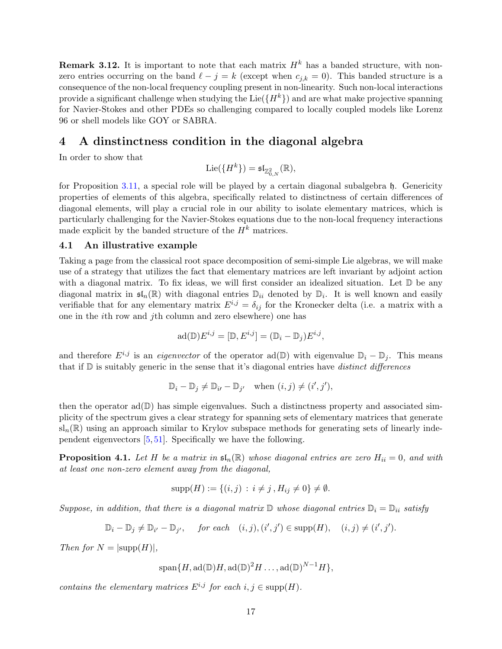**Remark 3.12.** It is important to note that each matrix  $H<sup>k</sup>$  has a banded structure, with nonzero entries occurring on the band  $\ell - j = k$  (except when  $c_{j,k} = 0$ ). This banded structure is a consequence of the non-local frequency coupling present in non-linearity. Such non-local interactions provide a significant challenge when studying the Lie( ${H^k}$ ) and are what make projective spanning for Navier-Stokes and other PDEs so challenging compared to locally coupled models like Lorenz 96 or shell models like GOY or SABRA.

## <span id="page-16-0"></span>4 A dinstinctness condition in the diagonal algebra

In order to show that

$$
\mathrm{Lie}(\{H^k\})=\mathfrak{sl}_{\mathbb{Z}_{0,N}^2}(\mathbb{R}),
$$

for Proposition [3.11,](#page-15-0) a special role will be played by a certain diagonal subalgebra h. Genericity properties of elements of this algebra, specifically related to distinctness of certain differences of diagonal elements, will play a crucial role in our ability to isolate elementary matrices, which is particularly challenging for the Navier-Stokes equations due to the non-local frequency interactions made explicit by the banded structure of the  $H^k$  matrices.

#### <span id="page-16-2"></span>4.1 An illustrative example

Taking a page from the classical root space decomposition of semi-simple Lie algebras, we will make use of a strategy that utilizes the fact that elementary matrices are left invariant by adjoint action with a diagonal matrix. To fix ideas, we will first consider an idealized situation. Let  $\mathbb D$  be any diagonal matrix in  $\mathfrak{sl}_n(\mathbb{R})$  with diagonal entries  $\mathbb{D}_{ii}$  denoted by  $\mathbb{D}_i$ . It is well known and easily verifiable that for any elementary matrix  $E^{i,j} = \delta_{ij}$  for the Kronecker delta (i.e. a matrix with a one in the ith row and jth column and zero elsewhere) one has

$$
\mathrm{ad}(\mathbb{D})E^{i,j} = [\mathbb{D}, E^{i,j}] = (\mathbb{D}_i - \mathbb{D}_j)E^{i,j},
$$

and therefore  $E^{i,j}$  is an *eigenvector* of the operator ad(D) with eigenvalue  $\mathbb{D}_i - \mathbb{D}_j$ . This means that if  $D$  is suitably generic in the sense that it's diagonal entries have *distinct differences* 

$$
\mathbb{D}_i - \mathbb{D}_j \neq \mathbb{D}_{i'} - \mathbb{D}_{j'} \quad \text{when } (i, j) \neq (i', j'),
$$

then the operator  $ad(\mathbb{D})$  has simple eigenvalues. Such a distinctness property and associated simplicity of the spectrum gives a clear strategy for spanning sets of elementary matrices that generate  $sl_n(\mathbb{R})$  using an approach similar to Krylov subspace methods for generating sets of linearly independent eigenvectors [\[5,](#page-38-24) [51\]](#page-39-29). Specifically we have the following.

<span id="page-16-1"></span>**Proposition 4.1.** Let H be a matrix in  $\mathfrak{sl}_n(\mathbb{R})$  whose diagonal entries are zero  $H_{ii} = 0$ , and with at least one non-zero element away from the diagonal,

$$
supp(H) := \{(i, j) : i \neq j, H_{ij} \neq 0\} \neq \emptyset.
$$

Suppose, in addition, that there is a diagonal matrix  $\mathbb{D}$  whose diagonal entries  $\mathbb{D}_i = \mathbb{D}_{ii}$  satisfy

$$
\mathbb{D}_i - \mathbb{D}_j \neq \mathbb{D}_{i'} - \mathbb{D}_{j'}, \quad \text{for each} \quad (i, j), (i', j') \in \text{supp}(H), \quad (i, j) \neq (i', j').
$$

Then for  $N = |\text{supp}(H)|$ ,

 $\text{span}\{H, \text{ad}(\mathbb{D})H, \text{ad}(\mathbb{D})^2H \ldots, \text{ad}(\mathbb{D})^{N-1}H\},\$ 

contains the elementary matrices  $E^{i,j}$  for each  $i, j \in \text{supp}(H)$ .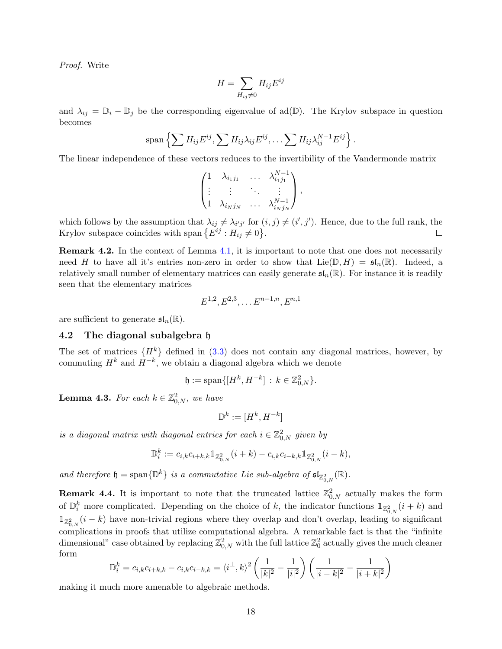Proof. Write

$$
H = \sum_{H_{ij} \neq 0} H_{ij} E^{ij}
$$

and  $\lambda_{ij} = \mathbb{D}_i - \mathbb{D}_j$  be the corresponding eigenvalue of ad( $\mathbb{D}$ ). The Krylov subspace in question becomes

$$
\mathrm{span}\left\{\sum H_{ij}E^{ij},\sum H_{ij}\lambda_{ij}E^{ij},\ldots\sum H_{ij}\lambda_{ij}^{N-1}E^{ij}\right\}
$$

.

The linear independence of these vectors reduces to the invertibility of the Vandermonde matrix

$$
\begin{pmatrix}\n1 & \lambda_{i_1j_1} & \cdots & \lambda_{i_1j_1}^{N-1} \\
\vdots & \vdots & \ddots & \vdots \\
1 & \lambda_{i_Nj_N} & \cdots & \lambda_{i_Nj_N}^{N-1}\n\end{pmatrix},
$$

which follows by the assumption that  $\lambda_{ij} \neq \lambda_{i'j'}$  for  $(i, j) \neq (i', j')$ . Hence, due to the full rank, the Krylov subspace coincides with span  $\{E^{ij}: H_{ij} \neq 0\}.$  $\Box$ 

<span id="page-17-0"></span>Remark 4.2. In the context of Lemma [4.1,](#page-16-1) it is important to note that one does not necessarily need H to have all it's entries non-zero in order to show that  $Lie(\mathbb{D}, H) = \mathfrak{sl}_n(\mathbb{R})$ . Indeed, a relatively small number of elementary matrices can easily generate  $\mathfrak{sl}_n(\mathbb{R})$ . For instance it is readily seen that the elementary matrices

$$
E^{1,2}, E^{2,3}, \dots E^{n-1,n}, E^{n,1}
$$

are sufficient to generate  $\mathfrak{sl}_n(\mathbb{R})$ .

#### 4.2 The diagonal subalgebra h

The set of matrices  $\{H^k\}$  defined in [\(3.3\)](#page-15-1) does not contain any diagonal matrices, however, by commuting  $H^k$  and  $H^{-k}$ , we obtain a diagonal algebra which we denote

$$
\mathfrak{h} := \text{span}\{[H^k, H^{-k}] \, : \, k \in \mathbb{Z}_{0,N}^2\}.
$$

**Lemma 4.3.** For each  $k \in \mathbb{Z}_{0,N}^2$ , we have

$$
\mathbb{D}^k:=[H^k,H^{-k}]
$$

is a diagonal matrix with diagonal entries for each  $i \in \mathbb{Z}_{0,N}^2$  given by

$$
\mathbb{D}_i^k := c_{i,k} c_{i+k,k} \mathbb{1}_{\mathbb{Z}_{0,N}^2}(i+k) - c_{i,k} c_{i-k,k} \mathbb{1}_{\mathbb{Z}_{0,N}^2}(i-k),
$$

and therefore  $\mathfrak{h} = \text{span}\{\mathbb{D}^k\}$  is a commutative Lie sub-algebra of  $\mathfrak{sl}_{\mathbb{Z}_{0,N}^2}(\mathbb{R})$ .

<span id="page-17-1"></span>**Remark 4.4.** It is important to note that the truncated lattice  $\mathbb{Z}_{0,N}^2$  actually makes the form of  $\mathbb{D}_i^k$  more complicated. Depending on the choice of k, the indicator functions  $\mathbb{1}_{\mathbb{Z}_{0,N}^2}(i+k)$  and  $\mathbb{1}_{\mathbb{Z}_2^2}$ ,  $(i-k)$  have non-trivial regions where they overlap and don't overlap, leading to significant  $\overline{\mathcal{L}_{0,N}}$  complications in proofs that utilize computational algebra. A remarkable fact is that the "infinite" dimensional" case obtained by replacing  $\mathbb{Z}_{0,N}^2$  with the full lattice  $\mathbb{Z}_0^2$  actually gives the much cleaner form

$$
\mathbb{D}_i^k = c_{i,k}c_{i+k,k} - c_{i,k}c_{i-k,k} = \langle i^\perp, k \rangle^2 \left( \frac{1}{|k|^2} - \frac{1}{|i|^2} \right) \left( \frac{1}{|i-k|^2} - \frac{1}{|i+k|^2} \right)
$$

making it much more amenable to algebraic methods.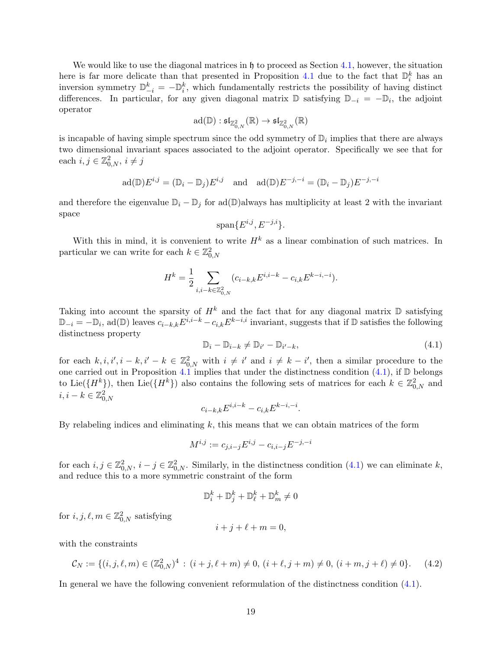We would like to use the diagonal matrices in  $\mathfrak h$  to proceed as Section [4.1,](#page-16-2) however, the situation here is far more delicate than that presented in Proposition [4.1](#page-16-1) due to the fact that  $\mathbb{D}_i^k$  has an inversion symmetry  $\mathbb{D}_{-i}^k = -\mathbb{D}_i^k$ , which fundamentally restricts the possibility of having distinct differences. In particular, for any given diagonal matrix  $\mathbb D$  satisfying  $\mathbb D_{-i} = -\mathbb D_i$ , the adjoint operator

$$
\mathrm{ad}(\mathbb{D}):\mathfrak{sl}_{\mathbb{Z}^2_{0,N}}(\mathbb{R})\rightarrow \mathfrak{sl}_{\mathbb{Z}^2_{0,N}}(\mathbb{R})
$$

is incapable of having simple spectrum since the odd symmetry of  $\mathbb{D}_i$  implies that there are always two dimensional invariant spaces associated to the adjoint operator. Specifically we see that for each  $i, j \in \mathbb{Z}_{0,N}^2$ ,  $i \neq j$ 

$$
\mathrm{ad}(\mathbb{D})E^{i,j} = (\mathbb{D}_i - \mathbb{D}_j)E^{i,j} \quad \text{and} \quad \mathrm{ad}(\mathbb{D})E^{-j,-i} = (\mathbb{D}_i - \mathbb{D}_j)E^{-j,-i}
$$

and therefore the eigenvalue  $\mathbb{D}_i - \mathbb{D}_j$  for ad( $\mathbb{D}$ )always has multiplicity at least 2 with the invariant space

$$
\text{span}\{E^{i,j}, E^{-j,i}\}.
$$

With this in mind, it is convenient to write  $H^k$  as a linear combination of such matrices. In particular we can write for each  $k \in \mathbb{Z}_{0,N}^2$ 

$$
H^{k} = \frac{1}{2} \sum_{i,i-k \in \mathbb{Z}^2_{0,N}} (c_{i-k,k} E^{i,i-k} - c_{i,k} E^{k-i,-i}).
$$

Taking into account the sparsity of  $H^k$  and the fact that for any diagonal matrix  $\mathbb D$  satisfying  $\mathbb{D}_{-i} = -\mathbb{D}_i$ , ad $(\mathbb{D})$  leaves  $c_{i-k,k}E^{i,i-k} - c_{i,k}E^{k-i,i}$  invariant, suggests that if  $\mathbb D$  satisfies the following distinctness property

<span id="page-18-0"></span>
$$
\mathbb{D}_i - \mathbb{D}_{i-k} \neq \mathbb{D}_{i'} - \mathbb{D}_{i'-k},\tag{4.1}
$$

for each  $k, i, i', i - k, i' - k \in \mathbb{Z}_{0,N}^2$  with  $i \neq i'$  and  $i \neq k - i'$ , then a similar procedure to the one carried out in Proposition [4.1](#page-16-1) implies that under the distinctness condition [\(4.1\)](#page-18-0), if  $\mathbb D$  belongs to Lie( $\{H^k\}$ ), then Lie( $\{H^k\}$ ) also contains the following sets of matrices for each  $k \in \mathbb{Z}_{0,N}^2$  and  $i, i-k \in \mathbb{Z}_{0,N}^2$ 

$$
c_{i-k,k}E^{i,i-k} - c_{i,k}E^{k-i,-i}.
$$

By relabeling indices and eliminating  $k$ , this means that we can obtain matrices of the form

$$
M^{i,j} := c_{j,i-j} E^{i,j} - c_{i,i-j} E^{-j,-i}
$$

for each  $i, j \in \mathbb{Z}_{0,N}^2$ ,  $i - j \in \mathbb{Z}_{0,N}^2$ . Similarly, in the distinctness condition  $(4.1)$  we can eliminate k, and reduce this to a more symmetric constraint of the form

$$
\mathbb{D}_i^k + \mathbb{D}_j^k + \mathbb{D}_\ell^k + \mathbb{D}_m^k \neq 0
$$

for  $i, j, \ell, m \in \mathbb{Z}_{0,N}^2$  satisfying

<span id="page-18-1"></span>
$$
i + j + \ell + m = 0,
$$

with the constraints

$$
\mathcal{C}_N := \{ (i, j, \ell, m) \in (\mathbb{Z}_{0,N}^2)^4 \, : \, (i + j, \ell + m) \neq 0, \, (i + \ell, j + m) \neq 0, \, (i + m, j + \ell) \neq 0 \}. \tag{4.2}
$$

In general we have the following convenient reformulation of the distinctness condition [\(4.1\)](#page-18-0).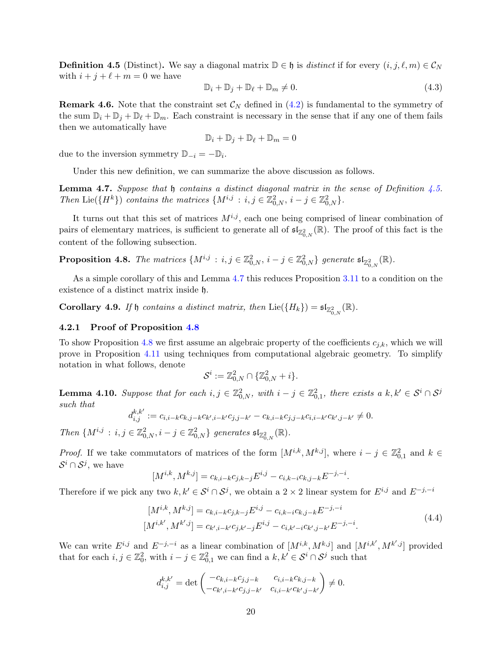<span id="page-19-1"></span>**Definition 4.5** (Distinct). We say a diagonal matrix  $\mathbb{D} \in \mathfrak{h}$  is *distinct* if for every  $(i, j, \ell, m) \in \mathcal{C}_N$ with  $i + j + \ell + m = 0$  we have

<span id="page-19-5"></span>
$$
\mathbb{D}_i + \mathbb{D}_j + \mathbb{D}_\ell + \mathbb{D}_m \neq 0. \tag{4.3}
$$

**Remark 4.6.** Note that the constraint set  $\mathcal{C}_N$  defined in [\(4.2\)](#page-18-1) is fundamental to the symmetry of the sum  $\mathbb{D}_i + \mathbb{D}_j + \mathbb{D}_m$ . Each constraint is necessary in the sense that if any one of them fails then we automatically have

$$
\mathbb{D}_i + \mathbb{D}_j + \mathbb{D}_\ell + \mathbb{D}_m = 0
$$

due to the inversion symmetry  $\mathbb{D}_{-i} = -\mathbb{D}_i$ .

Under this new definition, we can summarize the above discussion as follows.

<span id="page-19-2"></span>**Lemma 4.7.** Suppose that  $\mathfrak h$  contains a distinct diagonal matrix in the sense of Definition [4.5.](#page-19-1) Then Lie( $\{H^k\}$ ) contains the matrices  $\{M^{i,j} : i, j \in \mathbb{Z}_{0,N}^2, i-j \in \mathbb{Z}_{0,N}^2\}.$ 

It turns out that this set of matrices  $M^{i,j}$ , each one being comprised of linear combination of pairs of elementary matrices, is sufficient to generate all of  $\mathfrak{sl}_{\mathbb{Z}^2_{0,N}}(\mathbb{R})$ . The proof of this fact is the content of the following subsection.

<span id="page-19-3"></span>**Proposition 4.8.** The matrices  $\{M^{i,j} : i, j \in \mathbb{Z}_{0,N}^2, i-j \in \mathbb{Z}_{0,N}^2\}$  generate  $\mathfrak{sl}_{\mathbb{Z}_{0,N}^2}(\mathbb{R})$ .

As a simple corollary of this and Lemma [4.7](#page-19-2) this reduces Proposition [3.11](#page-15-0) to a condition on the existence of a distinct matrix inside h.

<span id="page-19-0"></span>**Corollary 4.9.** If  $\mathfrak{h}$  contains a distinct matrix, then  $\text{Lie}(\{H_k\}) = \mathfrak{sl}_{\mathbb{Z}_{0,N}^2}(\mathbb{R})$ .

#### 4.2.1 Proof of Proposition [4.8](#page-19-3)

To show Proposition [4.8](#page-19-3) we first assume an algebraic property of the coefficients  $c_{i,k}$ , which we will prove in Proposition [4.11](#page-20-0) using techniques from computational algebraic geometry. To simplify notation in what follows, denote

<span id="page-19-4"></span>
$$
\mathcal{S}^i:=\mathbb{Z}^2_{0,N}\cap\{\mathbb{Z}^2_{0,N}+i\}.
$$

**Lemma 4.10.** Suppose that for each  $i, j \in \mathbb{Z}_{0,N}^2$ , with  $i - j \in \mathbb{Z}_{0,1}^2$ , there exists a  $k, k' \in \mathcal{S}^i \cap \mathcal{S}^j$ such that

$$
d_{i,j}^{k,k'} := c_{i,i-k}c_{k,j-k}c_{k',i-k'}c_{j,j-k'} - c_{k,i-k}c_{j,j-k}c_{i,i-k'}c_{k',j-k'} \neq 0.
$$

Then  $\{M^{i,j} : i,j \in \mathbb{Z}_{0,N}^2, i-j \in \mathbb{Z}_{0,N}^2\}$  generates  $\mathfrak{sl}_{\mathbb{Z}_{0,N}^2}(\mathbb{R})$ .

*Proof.* If we take commutators of matrices of the form  $[M^{i,k}, M^{k,j}]$ , where  $i - j \in \mathbb{Z}_{0,1}^2$  and  $k \in$  $\mathcal{S}^i \cap \mathcal{S}^j$ , we have

$$
[M^{i,k}, M^{k,j}] = c_{k,i-k} c_{j,k-j} E^{i,j} - c_{i,k-i} c_{k,j-k} E^{-j,-i}.
$$

Therefore if we pick any two  $k, k' \in S^i \cap S^j$ , we obtain a 2 × 2 linear system for  $E^{i,j}$  and  $E^{-j,-i}$ 

$$
[M^{i,k}, M^{k,j}] = c_{k,i-k}c_{j,k-j}E^{i,j} - c_{i,k-i}c_{k,j-k}E^{-j,-i}
$$
  
\n
$$
[M^{i,k'}, M^{k',j}] = c_{k',i-k'}c_{j,k'-j}E^{i,j} - c_{i,k'-i}c_{k',j-k'}E^{-j,-i}.
$$
\n(4.4)

We can write  $E^{i,j}$  and  $E^{-j,-i}$  as a linear combination of  $[M^{i,k}, M^{k,j}]$  and  $[M^{i,k'}, M^{k',j}]$  provided that for each  $i, j \in \mathbb{Z}_0^2$ , with  $i - j \in \mathbb{Z}_{0,1}^2$  we can find a  $k, k' \in \mathcal{S}^i \cap \mathcal{S}^j$  such that

$$
d_{i,j}^{k,k'} = \det \begin{pmatrix} -c_{k,i-k}c_{j,j-k} & c_{i,i-k}c_{k,j-k} \\ -c_{k',i-k'}c_{j,j-k'} & c_{i,i-k'}c_{k',j-k'} \end{pmatrix} \neq 0.
$$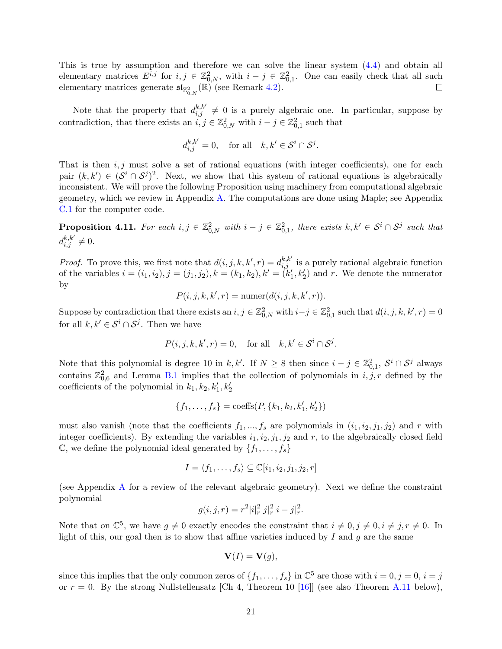This is true by assumption and therefore we can solve the linear system [\(4.4\)](#page-19-4) and obtain all elementary matrices  $E^{i,j}$  for  $i, j \in \mathbb{Z}_{0,N}^2$ , with  $i - j \in \mathbb{Z}_{0,1}^2$ . One can easily check that all such elementary matrices generate  $\mathfrak{sl}_{\mathbb{Z}_{0,N}^2}(\mathbb{R})$  (see Remark [4.2\)](#page-17-0).

Note that the property that  $d_{i,j}^{k,k'} \neq 0$  is a purely algebraic one. In particular, suppose by contradiction, that there exists an  $\tilde{i}, j \in \mathbb{Z}_{0,N}^2$  with  $i - j \in \mathbb{Z}_{0,1}^2$  such that

$$
d_{i,j}^{k,k'} = 0, \quad \text{for all} \quad k, k' \in \mathcal{S}^i \cap \mathcal{S}^j.
$$

That is then  $i, j$  must solve a set of rational equations (with integer coefficients), one for each pair  $(k, k') \in (S^i \cap S^j)^2$ . Next, we show that this system of rational equations is algebraically inconsistent. We will prove the following Proposition using machinery from computational algebraic geometry, which we review in Appendix [A.](#page-29-0) The computations are done using Maple; see Appendix [C.1](#page-34-1) for the computer code.

<span id="page-20-0"></span>**Proposition 4.11.** For each  $i, j \in \mathbb{Z}_{0,N}^2$  with  $i - j \in \mathbb{Z}_{0,1}^2$ , there exists  $k, k' \in \mathcal{S}^i \cap \mathcal{S}^j$  such that  $d_{i,j}^{k,k'} \neq 0.$ 

*Proof.* To prove this, we first note that  $d(i, j, k, k', r) = d_{i,j}^{k, k'}$  is a purely rational algebraic function of the variables  $i = (i_1, i_2), j = (j_1, j_2), k = (k_1, k_2), k' = (k'_1, k'_2)$  and r. We denote the numerator by

$$
P(i, j, k, k', r) = \text{numer}(d(i, j, k, k', r)).
$$

Suppose by contradiction that there exists an  $i, j \in \mathbb{Z}_{0,N}^2$  with  $i-j \in \mathbb{Z}_{0,1}^2$  such that  $d(i, j, k, k', r) = 0$ for all  $k, k' \in \mathcal{S}^i \cap \mathcal{S}^j$ . Then we have

$$
P(i, j, k, k', r) = 0, \quad \text{for all} \quad k, k' \in \mathcal{S}^i \cap \mathcal{S}^j.
$$

Note that this polynomial is degree 10 in k, k'. If  $N \geq 8$  then since  $i - j \in \mathbb{Z}_{0,1}^2$ ,  $\mathcal{S}^i \cap \mathcal{S}^j$  always contains  $\mathbb{Z}_{0,6}^2$  and Lemma [B.1](#page-32-1) implies that the collection of polynomials in  $i, j, r$  defined by the coefficients of the polynomial in  $k_1, k_2, k'_1, k'_2$ 

$$
\{f_1, \ldots, f_s\} = \text{coeffs}(P, \{k_1, k_2, k'_1, k'_2\})
$$

must also vanish (note that the coefficients  $f_1, ..., f_s$  are polynomials in  $(i_1, i_2, j_1, j_2)$  and r with integer coefficients). By extending the variables  $i_1, i_2, j_1, j_2$  and r, to the algebraically closed field  $\mathbb{C}$ , we define the polynomial ideal generated by  $\{f_1, \ldots, f_s\}$ 

$$
I = \langle f_1, \dots, f_s \rangle \subseteq \mathbb{C}[i_1, i_2, j_1, j_2, r]
$$

(see Appendix [A](#page-29-0) for a review of the relevant algebraic geometry). Next we define the constraint polynomial

$$
g(i, j, r) = r^2 |i|^2 |j|^2 |i - j|^2.
$$

Note that on  $\mathbb{C}^5$ , we have  $g \neq 0$  exactly encodes the constraint that  $i \neq 0, j \neq 0, i \neq j, r \neq 0$ . In light of this, our goal then is to show that affine varieties induced by  $I$  and  $g$  are the same

$$
\mathbf{V}(I) = \mathbf{V}(g),
$$

since this implies that the only common zeros of  $\{f_1, \ldots, f_s\}$  in  $\mathbb{C}^5$  are those with  $i = 0, j = 0, i = j$ or  $r = 0$ . By the strong Nullstellensatz [Ch 4, Theorem 10 [\[16\]](#page-38-19)] (see also Theorem [A.11](#page-31-0) below),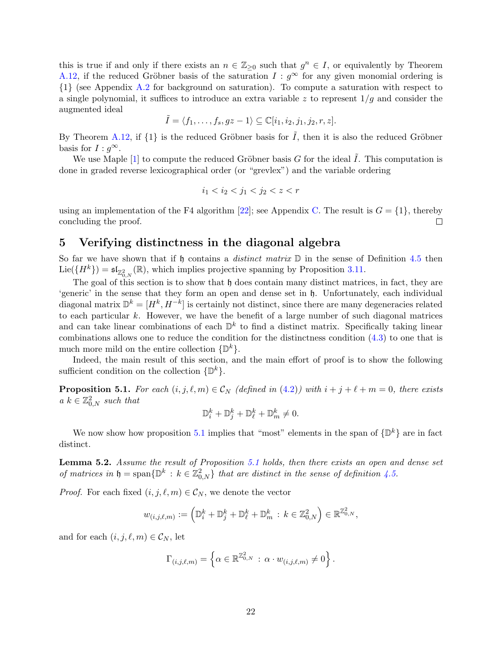this is true if and only if there exists an  $n \in \mathbb{Z}_{\geq 0}$  such that  $g^n \in I$ , or equivalently by Theorem [A.12,](#page-32-2) if the reduced Gröbner basis of the saturation  $I : g^{\infty}$  for any given monomial ordering is {1} (see Appendix [A.2](#page-31-1) for background on saturation). To compute a saturation with respect to a single polynomial, it suffices to introduce an extra variable z to represent  $1/g$  and consider the augmented ideal

$$
\tilde{I} = \langle f_1, \dots, f_s, gz - 1 \rangle \subseteq \mathbb{C}[i_1, i_2, j_1, j_2, r, z].
$$

By Theorem [A.12,](#page-32-2) if  $\{1\}$  is the reduced Gröbner basis for  $\tilde{I}$ , then it is also the reduced Gröbner basis for  $I : g^{\infty}$ .

We use Maple [\[1\]](#page-38-12) to compute the reduced Gröbner basis G for the ideal  $\tilde{I}$ . This computation is done in graded reverse lexicographical order (or "grevlex") and the variable ordering

$$
i_1 < i_2 < j_1 < j_2 < z < r
$$

using an implementation of the F4 algorithm [\[22\]](#page-38-25); see Appendix [C.](#page-34-0) The result is  $G = \{1\}$ , thereby concluding the proof.  $\Box$ 

## <span id="page-21-0"></span>5 Verifying distinctness in the diagonal algebra

So far we have shown that if h contains a *distinct matrix*  $\mathbb D$  in the sense of Definition [4.5](#page-19-1) then  $\text{Lie}(\{H^k\}) = \mathfrak{sl}_{\mathbb{Z}_{0,N}^2}(\mathbb{R})$ , which implies projective spanning by Proposition [3.11.](#page-15-0)

The goal of this section is to show that  $\mathfrak h$  does contain many distinct matrices, in fact, they are 'generic' in the sense that they form an open and dense set in h. Unfortunately, each individual diagonal matrix  $\mathbb{D}^k = [H^k, H^{-k}]$  is certainly not distinct, since there are many degeneracies related to each particular  $k$ . However, we have the benefit of a large number of such diagonal matrices and can take linear combinations of each  $\mathbb{D}^k$  to find a distinct matrix. Specifically taking linear combinations allows one to reduce the condition for the distinctness condition [\(4.3\)](#page-19-5) to one that is much more mild on the entire collection  $\{\mathbb{D}^k\}.$ 

Indeed, the main result of this section, and the main effort of proof is to show the following sufficient condition on the collection  $\{\mathbb{D}^k\}.$ 

<span id="page-21-1"></span>**Proposition 5.1.** For each  $(i, j, \ell, m) \in \mathcal{C}_N$  (defined in [\(4.2\)](#page-18-1)) with  $i + j + \ell + m = 0$ , there exists  $a \ k \in \mathbb{Z}_{0,N}^2$  such that

$$
\mathbb{D}_i^k + \mathbb{D}_j^k + \mathbb{D}_\ell^k + \mathbb{D}_m^k \neq 0.
$$

We now show how proposition [5.1](#page-21-1) implies that "most" elements in the span of  $\{\mathbb{D}^k\}$  are in fact distinct.

<span id="page-21-2"></span>Lemma 5.2. Assume the result of Proposition [5.1](#page-21-1) holds, then there exists an open and dense set of matrices in  $\mathfrak{h} = \text{span}\{\mathbb{D}^k : k \in \mathbb{Z}_{0,N}^2\}$  that are distinct in the sense of definition [4.5.](#page-19-1)

*Proof.* For each fixed  $(i, j, \ell, m) \in \mathcal{C}_N$ , we denote the vector

$$
w_{(i,j,\ell,m)} := \left(\mathbb{D}_i^k + \mathbb{D}_j^k + \mathbb{D}_\ell^k + \mathbb{D}_m^k : k \in \mathbb{Z}_{0,N}^2\right) \in \mathbb{R}^{\mathbb{Z}_{0,N}^2},
$$

and for each  $(i, j, \ell, m) \in \mathcal{C}_N$ , let

$$
\Gamma_{(i,j,\ell,m)} = \left\{ \alpha \in \mathbb{R}^{\mathbb{Z}_{0,N}^2} : \alpha \cdot w_{(i,j,\ell,m)} \neq 0 \right\}.
$$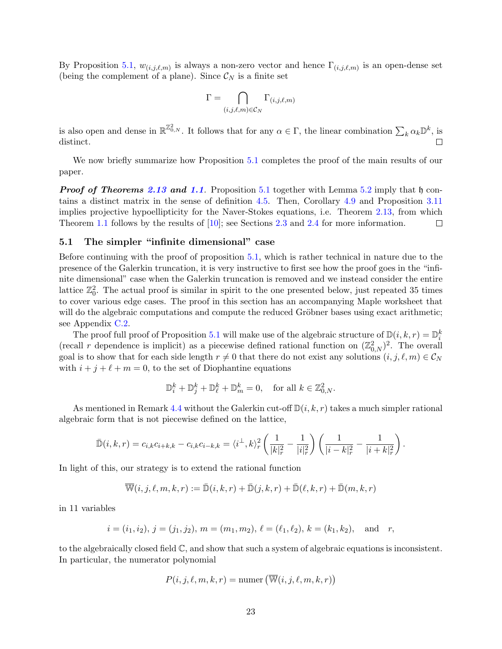By Proposition [5.1,](#page-21-1)  $w_{(i,j,\ell,m)}$  is always a non-zero vector and hence  $\Gamma_{(i,j,\ell,m)}$  is an open-dense set (being the complement of a plane). Since  $\mathcal{C}_N$  is a finite set

$$
\Gamma = \bigcap_{(i,j,\ell,m)\in \mathcal{C}_N} \Gamma_{(i,j,\ell,m)}
$$

is also open and dense in  $\mathbb{R}^{\mathbb{Z}_{0,N}^2}$ . It follows that for any  $\alpha \in \Gamma$ , the linear combination  $\sum_{k} \alpha_k \mathbb{D}^k$ , is distinct.

We now briefly summarize how Proposition [5.1](#page-21-1) completes the proof of the main results of our paper.

**Proof of Theorems [2.13](#page-10-0) and [1.1](#page-4-1).** Proposition [5.1](#page-21-1) together with Lemma [5.2](#page-21-2) imply that h contains a distinct matrix in the sense of definition [4.5.](#page-19-1) Then, Corollary [4.9](#page-19-0) and Proposition [3.11](#page-15-0) implies projective hypoellipticity for the Naver-Stokes equations, i.e. Theorem [2.13,](#page-10-0) from which Theorem [1.1](#page-4-1) follows by the results of [\[10\]](#page-38-1); see Sections [2.3](#page-8-3) and [2.4](#page-9-0) for more information.  $\Box$ 

#### <span id="page-22-0"></span>5.1 The simpler "infinite dimensional" case

Before continuing with the proof of proposition [5.1,](#page-21-1) which is rather technical in nature due to the presence of the Galerkin truncation, it is very instructive to first see how the proof goes in the "infinite dimensional" case when the Galerkin truncation is removed and we instead consider the entire lattice  $\mathbb{Z}_0^2$ . The actual proof is similar in spirit to the one presented below, just repeated 35 times to cover various edge cases. The proof in this section has an accompanying Maple worksheet that will do the algebraic computations and compute the reduced Gröbner bases using exact arithmetic; see Appendix [C.2.](#page-35-0)

The proof full proof of Proposition [5.1](#page-21-1) will make use of the algebraic structure of  $\mathbb{D}(i, k, r) = \mathbb{D}_i^k$ (recall r dependence is implicit) as a piecewise defined rational function on  $(\mathbb{Z}_{0,N}^2)^2$ . The overall goal is to show that for each side length  $r \neq 0$  that there do not exist any solutions  $(i, j, \ell, m) \in C_N$ with  $i + j + \ell + m = 0$ , to the set of Diophantine equations

$$
\mathbb{D}_i^k + \mathbb{D}_j^k + \mathbb{D}_\ell^k + \mathbb{D}_m^k = 0, \quad \text{for all } k \in \mathbb{Z}_{0,N}^2.
$$

As mentioned in Remark [4.4](#page-17-1) without the Galerkin cut-off  $\mathbb{D}(i, k, r)$  takes a much simpler rational algebraic form that is not piecewise defined on the lattice,

$$
\bar{\mathbb{D}}(i,k,r) = c_{i,k}c_{i+k,k} - c_{i,k}c_{i-k,k} = \langle i^{\perp},k \rangle_r^2 \left( \frac{1}{|k|_r^2} - \frac{1}{|i|_r^2} \right) \left( \frac{1}{|i-k|_r^2} - \frac{1}{|i+k|_r^2} \right).
$$

In light of this, our strategy is to extend the rational function

$$
\overline{\mathbb{W}}(i,j,\ell,m,k,r):=\bar{\mathbb{D}}(i,k,r)+\bar{\mathbb{D}}(j,k,r)+\bar{\mathbb{D}}(\ell,k,r)+\bar{\mathbb{D}}(m,k,r)
$$

in 11 variables

$$
i = (i_1, i_2), j = (j_1, j_2), m = (m_1, m_2), \ell = (\ell_1, \ell_2), k = (k_1, k_2), \text{ and } r,
$$

to the algebraically closed field C, and show that such a system of algebraic equations is inconsistent. In particular, the numerator polynomial

$$
P(i, j, \ell, m, k, r) = \text{numer}(\overline{\mathbb{W}}(i, j, \ell, m, k, r))
$$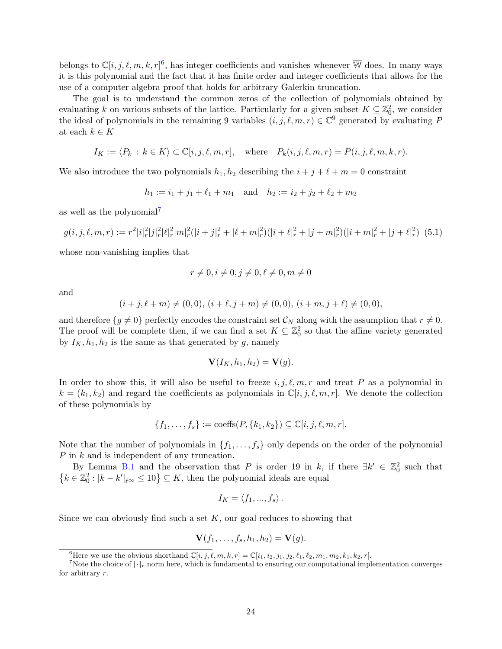belongs to  $\mathbb{C}[i, j, \ell, m, k, r]^6$  $\mathbb{C}[i, j, \ell, m, k, r]^6$ , has integer coefficients and vanishes whenever  $\overline{\mathbb{W}}$  does. In many ways it is this polynomial and the fact that it has finite order and integer coefficients that allows for the use of a computer algebra proof that holds for arbitrary Galerkin truncation.

The goal is to understand the common zeros of the collection of polynomials obtained by evaluating k on various subsets of the lattice. Particularly for a given subset  $K \subseteq \mathbb{Z}_0^2$ , we consider the ideal of polynomials in the remaining 9 variables  $(i, j, \ell, m, r) \in \mathbb{C}^9$  generated by evaluating P at each  $k \in K$ 

$$
I_K := \langle P_k \, : \, k \in K \rangle \subset \mathbb{C}[i, j, \ell, m, r], \quad \text{where} \quad P_k(i, j, \ell, m, r) = P(i, j, \ell, m, k, r).
$$

We also introduce the two polynomials  $h_1, h_2$  describing the  $i + j + \ell + m = 0$  constraint

$$
h_1 := i_1 + j_1 + \ell_1 + m_1
$$
 and  $h_2 := i_2 + j_2 + \ell_2 + m_2$ 

as well as the polynomial[7](#page-23-1)

$$
g(i,j,\ell,m,r) := r^2 |i_r^2|j_r^2|\ell_r^2|m_r^2(|i+j_r^2 + |\ell+m_r^2)(|i+\ell_r^2 + |j+m_r^2)(|i+m_r^2 + |j+\ell_r^2)
$$
 (5.1)

whose non-vanishing implies that

<span id="page-23-2"></span>
$$
r \neq 0, i \neq 0, j \neq 0, \ell \neq 0, m \neq 0
$$

and

$$
(i+j,\ell+m)\neq (0,0),\ (i+\ell,j+m)\neq (0,0),\ (i+m,j+\ell)\neq (0,0),
$$

and therefore  $\{g \neq 0\}$  perfectly encodes the constraint set  $\mathcal{C}_N$  along with the assumption that  $r \neq 0$ . The proof will be complete then, if we can find a set  $K \subseteq \mathbb{Z}_0^2$  so that the affine variety generated by  $I_K$ ,  $h_1$ ,  $h_2$  is the same as that generated by g, namely

$$
\mathbf{V}(I_K,h_1,h_2)=\mathbf{V}(g).
$$

In order to show this, it will also be useful to freeze  $i, j, \ell, m, r$  and treat P as a polynomial in  $k = (k_1, k_2)$  and regard the coefficients as polynomials in  $\mathbb{C}[i, j, \ell, m, r]$ . We denote the collection of these polynomials by

$$
\{f_1,\ldots,f_s\} := \mathrm{coeffs}(P,\{k_1,k_2\}) \subseteq \mathbb{C}[i,j,\ell,m,r].
$$

Note that the number of polynomials in  $\{f_1, \ldots, f_s\}$  only depends on the order of the polynomial P in k and is independent of any truncation.

By Lemma [B.1](#page-32-1) and the observation that P is order 19 in k, if there  $\exists k' \in \mathbb{Z}_0^2$  such that  $\{k \in \mathbb{Z}_0^2 : |k - k'|_{\ell^{\infty}} \le 10\} \subseteq K$ , then the polynomial ideals are equal

$$
I_K = \langle f_1, ..., f_s \rangle.
$$

Since we can obviously find such a set  $K$ , our goal reduces to showing that

$$
\mathbf{V}(f_1,\ldots,f_s,h_1,h_2)=\mathbf{V}(g).
$$

<span id="page-23-1"></span><span id="page-23-0"></span><sup>&</sup>lt;sup>6</sup>Here we use the obvious shorthand  $\mathbb{C}[i, j, \ell, m, k, r] = \mathbb{C}[i_1, i_2, j_1, j_2, \ell_1, \ell_2, m_1, m_2, k_1, k_2, r].$ 

<sup>&</sup>lt;sup>7</sup>Note the choice of  $|\cdot|_r$  norm here, which is fundamental to ensuring our computational implementation converges for arbitrary r.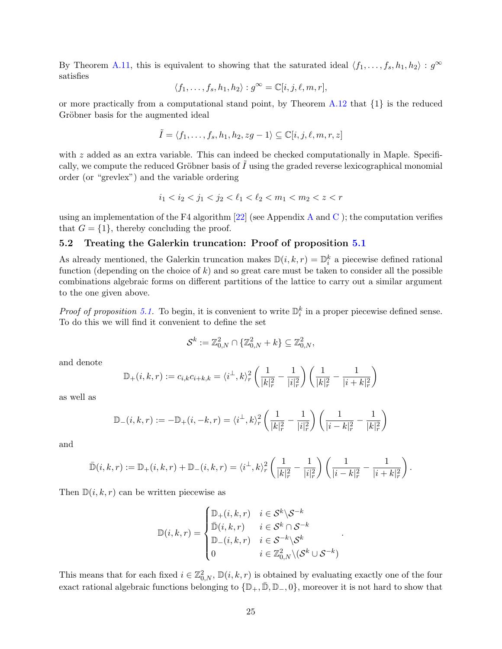By Theorem [A.11,](#page-31-0) this is equivalent to showing that the saturated ideal  $\langle f_1, \ldots, f_s, h_1, h_2 \rangle : g^{\infty}$ satisfies

$$
\langle f_1,\ldots,f_s,h_1,h_2\rangle: g^\infty=\mathbb{C}[i,j,\ell,m,r],
$$

or more practically from a computational stand point, by Theorem  $A.12$  that  $\{1\}$  is the reduced Gröbner basis for the augmented ideal

$$
\tilde{I} = \langle f_1, \dots, f_s, h_1, h_2, zg - 1 \rangle \subseteq \mathbb{C}[i, j, \ell, m, r, z]
$$

with  $z$  added as an extra variable. This can indeed be checked computationally in Maple. Specifically, we compute the reduced Gröbner basis of  $I$  using the graded reverse lexicographical monomial order (or "grevlex") and the variable ordering

$$
i_1
$$

using an implementation of the F4 algorithm  $[22]$  (see [A](#page-29-0)ppendix A and [C](#page-34-0)); the computation verifies that  $G = \{1\}$ , thereby concluding the proof.

### 5.2 Treating the Galerkin truncation: Proof of proposition [5.1](#page-21-1)

As already mentioned, the Galerkin truncation makes  $\mathbb{D}(i, k, r) = \mathbb{D}_i^k$  a piecewise defined rational function (depending on the choice of  $k$ ) and so great care must be taken to consider all the possible combinations algebraic forms on different partitions of the lattice to carry out a similar argument to the one given above.

*Proof of proposition 5.1*. To begin, it is convenient to write  $\mathbb{D}_i^k$  in a proper piecewise defined sense. To do this we will find it convenient to define the set

$$
\mathcal{S}^k := \mathbb{Z}^2_{0,N} \cap \{\mathbb{Z}^2_{0,N} + k\} \subseteq \mathbb{Z}^2_{0,N},
$$

and denote

$$
\mathbb{D}_{+}(i,k,r) := c_{i,k}c_{i+k,k} = \langle i^{\perp},k\rangle_{r}^{2}\left(\frac{1}{|k|_{r}^{2}} - \frac{1}{|i|_{r}^{2}}\right)\left(\frac{1}{|k|_{r}^{2}} - \frac{1}{|i+k|_{r}^{2}}\right)
$$

as well as

$$
\mathbb{D}_{-}(i,k,r):=-\mathbb{D}_{+}(i,-k,r)=\langle i^{\perp},k\rangle_{r}^{2}\left(\frac{1}{|k|_{r}^{2}}-\frac{1}{|i|_{r}^{2}}\right)\left(\frac{1}{|i-k|_{r}^{2}}-\frac{1}{|k|_{r}^{2}}\right)
$$

and

$$
\bar{\mathbb{D}}(i,k,r) := \mathbb{D}_+(i,k,r) + \mathbb{D}_-(i,k,r) = \langle i^\perp, k \rangle_r^2 \left( \frac{1}{|k|_r^2} - \frac{1}{|i|_r^2} \right) \left( \frac{1}{|i-k|_r^2} - \frac{1}{|i+k|_r^2} \right).
$$

Then  $D(i, k, r)$  can be written piecewise as

$$
\mathbb{D}(i,k,r) = \begin{cases} \mathbb{D}_{+}(i,k,r) & i \in \mathcal{S}^{k} \setminus \mathcal{S}^{-k} \\ \bar{\mathbb{D}}(i,k,r) & i \in \mathcal{S}^{k} \cap \mathcal{S}^{-k} \\ \mathbb{D}_{-}(i,k,r) & i \in \mathcal{S}^{-k} \setminus \mathcal{S}^{k} \\ 0 & i \in \mathbb{Z}_{0,N}^{2} \setminus (\mathcal{S}^{k} \cup \mathcal{S}^{-k}) \end{cases}.
$$

This means that for each fixed  $i \in \mathbb{Z}_{0,N}^2$ ,  $\mathbb{D}(i,k,r)$  is obtained by evaluating exactly one of the four exact rational algebraic functions belonging to  $\{\mathbb{D}_+, \overline{\mathbb{D}}, \mathbb{D}_-, 0\}$ , moreover it is not hard to show that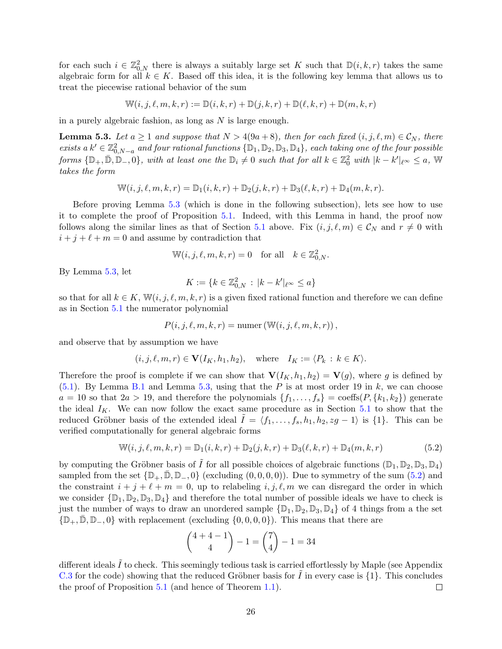for each such  $i \in \mathbb{Z}_{0,N}^2$  there is always a suitably large set K such that  $\mathbb{D}(i,k,r)$  takes the same algebraic form for all  $k \in K$ . Based off this idea, it is the following key lemma that allows us to treat the piecewise rational behavior of the sum

$$
\mathbb{W}(i, j, \ell, m, k, r) := \mathbb{D}(i, k, r) + \mathbb{D}(j, k, r) + \mathbb{D}(\ell, k, r) + \mathbb{D}(m, k, r)
$$

in a purely algebraic fashion, as long as  $N$  is large enough.

<span id="page-25-0"></span>**Lemma 5.3.** Let  $a \ge 1$  and suppose that  $N > 4(9a + 8)$ , then for each fixed  $(i, j, \ell, m) \in \mathcal{C}_N$ , there exists  $a k' \in \mathbb{Z}_{0,N-a}^2$  and four rational functions  $\{\mathbb{D}_1, \mathbb{D}_2, \mathbb{D}_3, \mathbb{D}_4\}$ , each taking one of the four possible  $forms \{D_+, \bar{D}, \bar{D}_-, 0\}, with at least one the  $D_i \neq 0$  such that for all  $k \in \mathbb{Z}_0^2$  with  $|k - k'|_{\ell^{\infty}} \leq a$ , W$ takes the form

$$
\mathbb{W}(i, j, \ell, m, k, r) = \mathbb{D}_1(i, k, r) + \mathbb{D}_2(j, k, r) + \mathbb{D}_3(\ell, k, r) + \mathbb{D}_4(m, k, r).
$$

Before proving Lemma [5.3](#page-25-0) (which is done in the following subsection), lets see how to use it to complete the proof of Proposition [5.1.](#page-21-1) Indeed, with this Lemma in hand, the proof now follows along the similar lines as that of Section [5.1](#page-22-0) above. Fix  $(i, j, \ell, m) \in C_N$  and  $r \neq 0$  with  $i + j + \ell + m = 0$  and assume by contradiction that

$$
\mathbb{W}(i, j, \ell, m, k, r) = 0 \quad \text{for all} \quad k \in \mathbb{Z}_{0,N}^2.
$$

By Lemma [5.3,](#page-25-0) let

$$
K := \{ k \in \mathbb{Z}_{0,N}^2 \, : \, |k - k'|_{\ell^{\infty}} \le a \}
$$

so that for all  $k \in K$ ,  $\mathbb{W}(i, j, \ell, m, k, r)$  is a given fixed rational function and therefore we can define as in Section [5.1](#page-22-0) the numerator polynomial

$$
P(i, j, \ell, m, k, r) = \text{numer}(\mathbb{W}(i, j, \ell, m, k, r)),
$$

and observe that by assumption we have

$$
(i, j, \ell, m, r) \in \mathbf{V}(I_K, h_1, h_2)
$$
, where  $I_K := \langle P_k : k \in K \rangle$ .

Therefore the proof is complete if we can show that  $\mathbf{V}(I_K, h_1, h_2) = \mathbf{V}(g)$ , where g is defined by  $(5.1)$ . By Lemma [B.1](#page-32-1) and Lemma [5.3,](#page-25-0) using that the P is at most order 19 in k, we can choose  $a = 10$  so that  $2a > 19$ , and therefore the polynomials  $\{f_1, \ldots, f_s\}$  = coeffs $(P, \{k_1, k_2\})$  generate the ideal  $I_K$ . We can now follow the exact same procedure as in Section [5.1](#page-22-0) to show that the reduced Gröbner basis of the extended ideal  $\tilde{I} = \langle f_1, \ldots, f_s, h_1, h_2, zg - 1 \rangle$  is {1}. This can be verified computationally for general algebraic forms

$$
\mathbb{W}(i, j, \ell, m, k, r) = \mathbb{D}_1(i, k, r) + \mathbb{D}_2(j, k, r) + \mathbb{D}_3(\ell, k, r) + \mathbb{D}_4(m, k, r)
$$
(5.2)

by computing the Gröbner basis of  $\tilde{I}$  for all possible choices of algebraic functions  $(\mathbb{D}_1, \mathbb{D}_2, \mathbb{D}_3, \mathbb{D}_4)$ sampled from the set  $\{\mathbb{D}_+, \bar{\mathbb{D}}, \mathbb{D}_-, 0\}$  (excluding  $(0, 0, 0, 0)$ ). Due to symmetry of the sum  $(5.2)$  and the constraint  $i + j + \ell + m = 0$ , up to relabeling  $i, j, \ell, m$  we can disregard the order in which we consider  $\{\mathbb{D}_1, \mathbb{D}_2, \mathbb{D}_3, \mathbb{D}_4\}$  and therefore the total number of possible ideals we have to check is just the number of ways to draw an unordered sample  $\{\mathbb{D}_1, \mathbb{D}_2, \mathbb{D}_3, \mathbb{D}_4\}$  of 4 things from a the set  $\{\mathbb{D}_+, \mathbb{D}, \mathbb{D}_-, 0\}$  with replacement (excluding  $\{0, 0, 0, 0\}$ ). This means that there are

<span id="page-25-1"></span>
$$
\binom{4+4-1}{4} - 1 = \binom{7}{4} - 1 = 34
$$

different ideals  $\tilde{I}$  to check. This seemingly tedious task is carried effortlessly by Maple (see Appendix [C.3](#page-36-0) for the code) showing that the reduced Gröbner basis for  $\overline{I}$  in every case is  $\{1\}$ . This concludes the proof of Proposition [5.1](#page-21-1) (and hence of Theorem [1.1\)](#page-4-1).  $\Box$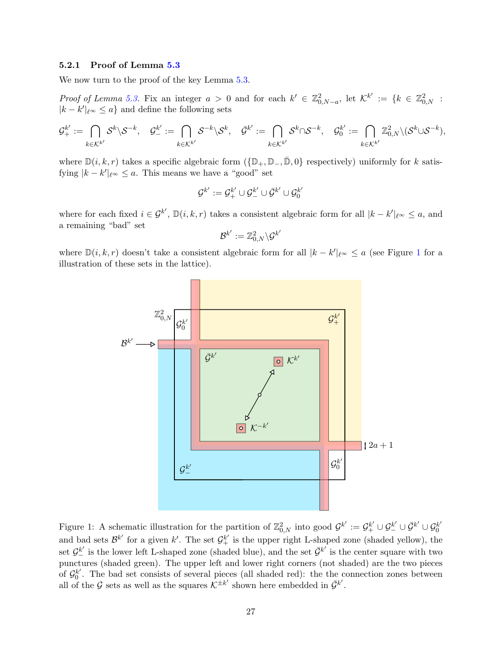#### 5.2.1 Proof of Lemma [5.3](#page-25-0)

We now turn to the proof of the key Lemma [5.3.](#page-25-0)

Proof of Lemma [5.3.](#page-25-0) Fix an integer  $a > 0$  and for each  $k' \in \mathbb{Z}_{0,N-a}^2$ , let  $\mathcal{K}^{k'} := \{k \in \mathbb{Z}_{0,N}^2 : k \in \mathbb{Z}_{0,N-a}^2 \}$  $|k - k'|_{\ell^{\infty}} \leq a$  and define the following sets

$$
\mathcal{G}^{k'}_{+}:=\bigcap_{k\in\mathcal{K}^{k'}}\mathcal{S}^{k}\backslash\mathcal{S}^{-k},\quad \mathcal{G}^{k'}_{-}:=\bigcap_{k\in\mathcal{K}^{k'}}\mathcal{S}^{-k}\backslash\mathcal{S}^{k},\quad \bar{\mathcal{G}}^{k'}:=\bigcap_{k\in\mathcal{K}^{k'}}\mathcal{S}^{k}\cap\mathcal{S}^{-k},\quad \mathcal{G}^{k'}_{0}:=\bigcap_{k\in\mathcal{K}^{k'}}\mathbb{Z}^2_{0,N}\backslash(\mathcal{S}^{k}\cup\mathcal{S}^{-k}),
$$

where  $\mathbb{D}(i, k, r)$  takes a specific algebraic form  $(\{\mathbb{D}_+, \mathbb{D}_-, \bar{\mathbb{D}}, 0\})$  respectively) uniformly for k satisfying  $|k - k'|_{\ell^{\infty}} \le a$ . This means we have a "good" set

$$
\mathcal{G}^{k'} := \mathcal{G}_+^{k'} \cup \mathcal{G}_-^{k'} \cup \bar{\mathcal{G}}^{k'} \cup \mathcal{G}_0^{k'}
$$

where for each fixed  $i \in \mathcal{G}^{k'}$ ,  $\mathbb{D}(i,k,r)$  takes a consistent algebraic form for all  $|k - k'|_{\ell^{\infty}} \leq a$ , and a remaining "bad" set  $\prime$ 

$$
\mathcal{B}^{k'}:=\mathbb{Z}^2_{0,N}\backslash\mathcal{G}^k
$$

where  $\mathbb{D}(i, k, r)$  doesn't take a consistent algebraic form for all  $|k - k'|_{\ell^{\infty}} \le a$  (see Figure [1](#page-26-0) for a illustration of these sets in the lattice).



<span id="page-26-0"></span>Figure 1: A schematic illustration for the partition of  $\mathbb{Z}_{0,N}^2$  into good  $\mathcal{G}^{k'} := \mathcal{G}_+^{k'} \cup \mathcal{G}_-^{k'} \cup \bar{\mathcal{G}}_0^{k'} \cup \mathcal{G}_0^{k'}$  $\boldsymbol{0}$ and bad sets  $\mathcal{B}^{k'}$  for a given k'. The set  $\mathcal{G}^{k'}_{+}$  is the upper right L-shaped zone (shaded yellow), the set  $\mathcal{G}_{-}^{k'}$  is the lower left L-shaped zone (shaded blue), and the set  $\bar{\mathcal{G}}^{k'}$  is the center square with two punctures (shaded green). The upper left and lower right corners (not shaded) are the two pieces of  $\mathcal{G}_0^{k'}$  $b_0^k$ . The bad set consists of several pieces (all shaded red): the the connection zones between all of the G sets as well as the squares  $\mathcal{K}^{\pm k'}$  shown here embedded in  $\bar{\mathcal{G}}^{k'}$ .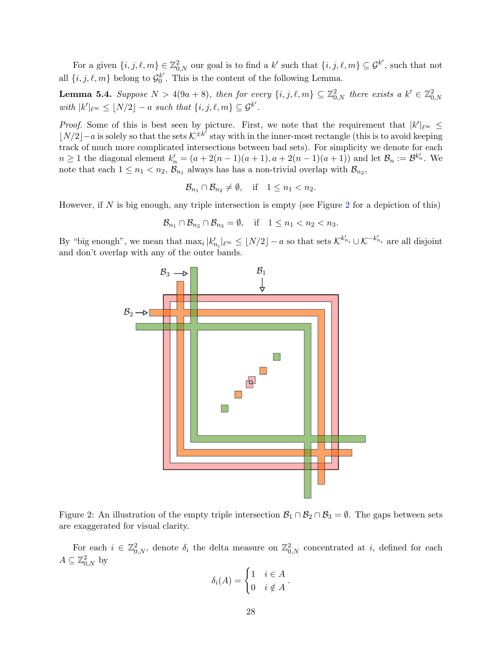For a given  $\{i, j, \ell, m\} \in \mathbb{Z}_{0,N}^2$  our goal is to find a k' such that  $\{i, j, \ell, m\} \subseteq \mathcal{G}^{k'}$ , such that not all  $\{i, j, \ell, m\}$  belong to  $\mathcal{G}_0^{k'}$  $b_0^{k'}$ . This is the content of the following Lemma.

<span id="page-27-1"></span>**Lemma 5.4.** Suppose  $N > 4(9a + 8)$ , then for every  $\{i, j, \ell, m\} \subseteq \mathbb{Z}_{0,N}^2$  there exists a  $k' \in \mathbb{Z}_{0,N}^2$ with  $|k'|_{\ell^{\infty}} \leq \lfloor N/2 \rfloor - a$  such that  $\{i, j, \ell, m\} \subseteq \mathcal{G}^{k'}$ .

*Proof.* Some of this is best seen by picture. First, we note that the requirement that  $|k'|_{\ell^{\infty}} \le$  $|N/2| - a$  is solely so that the sets  $K^{\pm k^7}$  stay with in the inner-most rectangle (this is to avoid keeping track of much more complicated intersections between bad sets). For simplicity we denote for each  $n \geq 1$  the diagonal element  $k'_n = (a + 2(n-1)(a+1), a + 2(n-1)(a+1))$  and let  $\mathcal{B}_n := \mathcal{B}^{k'_n}$ . We note that each  $1 \leq n_1 < n_2$ ,  $\mathcal{B}_{n_1}$  always has has a non-trivial overlap with  $\mathcal{B}_{n_2}$ ,

$$
\mathcal{B}_{n_1} \cap \mathcal{B}_{n_2} \neq \emptyset, \quad \text{if} \quad 1 \le n_1 < n_2.
$$

However, if N is big enough, any triple intersection is empty (see Figure [2](#page-27-0) for a depiction of this)

$$
\mathcal{B}_{n_1} \cap \mathcal{B}_{n_2} \cap \mathcal{B}_{n_3} = \emptyset, \quad \text{if} \quad 1 \le n_1 < n_2 < n_3.
$$

By "big enough", we mean that  $\max_i |k'_{n_i}|_{\ell^{\infty}} \leq \lfloor N/2 \rfloor - a$  so that sets  $\mathcal{K}^{k'_{n_i}} \cup \mathcal{K}^{-k'_{n_i}}$  are all disjoint and don't overlap with any of the outer bands.



<span id="page-27-0"></span>Figure 2: An illustration of the empty triple intersection  $\mathcal{B}_1 \cap \mathcal{B}_2 \cap \mathcal{B}_3 = \emptyset$ . The gaps between sets are exaggerated for visual clarity.

For each  $i \in \mathbb{Z}_{0,N}^2$ , denote  $\delta_i$  the delta measure on  $\mathbb{Z}_{0,N}^2$  concentrated at i, defined for each  $A \subseteq \mathbb{Z}_{0,N}^2$  by

$$
\delta_i(A) = \begin{cases} 1 & i \in A \\ 0 & i \notin A \end{cases}.
$$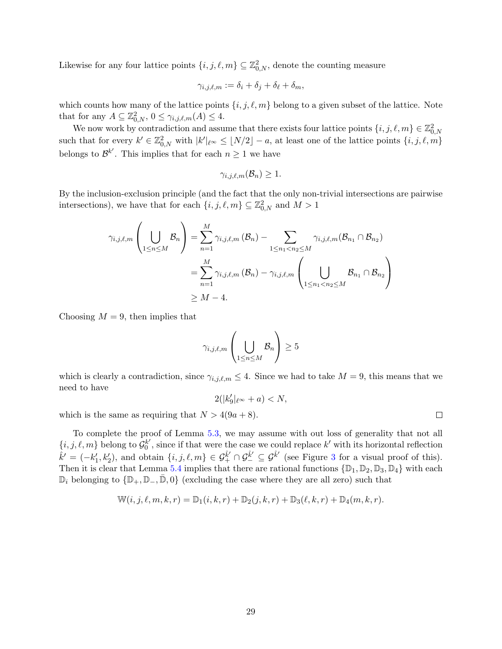Likewise for any four lattice points  $\{i, j, \ell, m\} \subseteq \mathbb{Z}_{0,N}^2$ , denote the counting measure

$$
\gamma_{i,j,\ell,m} := \delta_i + \delta_j + \delta_\ell + \delta_m,
$$

which counts how many of the lattice points  $\{i, j, \ell, m\}$  belong to a given subset of the lattice. Note that for any  $A \subseteq \mathbb{Z}_{0,N}^2$ ,  $0 \leq \gamma_{i,j,\ell,m}(A) \leq 4$ .

We now work by contradiction and assume that there exists four lattice points  $\{i, j, \ell, m\} \in \mathbb{Z}_{0,N}^2$ such that for every  $k' \in \mathbb{Z}_{0,N}^2$  with  $|k'|_{\ell^\infty} \leq \lfloor N/2 \rfloor - a$ , at least one of the lattice points  $\{i, j, \ell, m\}$ belongs to  $\mathcal{B}^{k'}$ . This implies that for each  $n \geq 1$  we have

$$
\gamma_{i,j,\ell,m}(\mathcal{B}_n) \geq 1.
$$

By the inclusion-exclusion principle (and the fact that the only non-trivial intersections are pairwise intersections), we have that for each  $\{i, j, \ell, m\} \subseteq \mathbb{Z}_{0,N}^2$  and  $M > 1$ 

$$
\gamma_{i,j,\ell,m}\left(\bigcup_{1\leq n\leq M}B_n\right)=\sum_{n=1}^M\gamma_{i,j,\ell,m}\left(B_n\right)-\sum_{1\leq n_1
$$
=\sum_{n=1}^M\gamma_{i,j,\ell,m}\left(B_n\right)-\gamma_{i,j,\ell,m}\left(\bigcup_{1\leq n_1
$$
\geq M-4.
$$
$$
$$

Choosing  $M = 9$ , then implies that

$$
\gamma_{i,j,\ell,m}\left(\bigcup_{1\leq n\leq M}B_n\right)\geq 5
$$

which is clearly a contradiction, since  $\gamma_{i,j,\ell,m} \leq 4$ . Since we had to take  $M = 9$ , this means that we need to have

$$
2(|k_9'|_{\ell^\infty}+a)
$$

which is the same as requiring that  $N > 4(9a + 8)$ .

To complete the proof of Lemma [5.3,](#page-25-0) we may assume with out loss of generality that not all  $\{i, j, \ell, m\}$  belong to  $\mathcal{G}_0^{k'}$  $b_0^{k'}$ , since if that were the case we could replace  $k'$  with its horizontal reflection  $\hat{k}' = (-k'_1, k'_2)$ , and obtain  $\{i, j, \ell, m\} \in \mathcal{G}_{+}^{\hat{k}'} \cap \mathcal{G}_{-}^{\hat{k}'} \subseteq \mathcal{G}^{\hat{k}'}$  (see Figure [3](#page-29-1) for a visual proof of this). Then it is clear that Lemma [5.4](#page-27-1) implies that there are rational functions  $\{\mathbb{D}_1, \mathbb{D}_2, \mathbb{D}_3, \mathbb{D}_4\}$  with each  $\mathbb{D}_i$  belonging to  $\{\mathbb{D}_+, \mathbb{D}_-, \bar{\mathbb{D}}, 0\}$  (excluding the case where they are all zero) such that

$$
\mathbb{W}(i, j, \ell, m, k, r) = \mathbb{D}_1(i, k, r) + \mathbb{D}_2(j, k, r) + \mathbb{D}_3(\ell, k, r) + \mathbb{D}_4(m, k, r).
$$

 $\Box$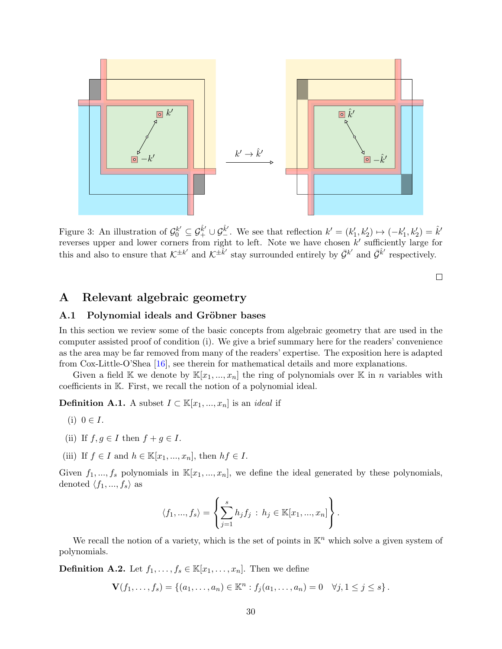

<span id="page-29-1"></span>Figure 3: An illustration of  $\mathcal{G}_0^{k'} \subseteq \mathcal{G}_+^{\hat{k}'} \cup \mathcal{G}_-^{\hat{k}'}$ . We see that reflection  $k' = (k'_1, k'_2) \mapsto (-k'_1, k'_2) = \hat{k}'$ reverses upper and lower corners from right to left. Note we have chosen  $k'$  sufficiently large for this and also to ensure that  $\mathcal{K}^{\pm k'}$  and  $\mathcal{K}^{\pm k'}$  stay surrounded entirely by  $\bar{\mathcal{G}}^{k'}$  and  $\bar{\mathcal{G}}^{k'}$  respectively.

 $\Box$ 

### <span id="page-29-0"></span>A Relevant algebraic geometry

#### A.1 Polynomial ideals and Gröbner bases

In this section we review some of the basic concepts from algebraic geometry that are used in the computer assisted proof of condition (i). We give a brief summary here for the readers' convenience as the area may be far removed from many of the readers' expertise. The exposition here is adapted from Cox-Little-O'Shea [\[16\]](#page-38-19), see therein for mathematical details and more explanations.

Given a field K we denote by  $\mathbb{K}[x_1,...,x_n]$  the ring of polynomials over K in *n* variables with coefficients in K. First, we recall the notion of a polynomial ideal.

**Definition A.1.** A subset  $I \subset \mathbb{K}[x_1, ..., x_n]$  is an *ideal* if

- (i)  $0 \in I$ .
- (ii) If  $f, q \in I$  then  $f + q \in I$ .
- (iii) If  $f \in I$  and  $h \in \mathbb{K}[x_1, ..., x_n]$ , then  $hf \in I$ .

Given  $f_1, ..., f_s$  polynomials in  $\mathbb{K}[x_1, ..., x_n]$ , we define the ideal generated by these polynomials, denoted  $\langle f_1, ..., f_s \rangle$  as

$$
\langle f_1, ..., f_s \rangle = \left\{ \sum_{j=1}^s h_j f_j : h_j \in \mathbb{K}[x_1, ..., x_n] \right\}.
$$

We recall the notion of a variety, which is the set of points in  $K<sup>n</sup>$  which solve a given system of polynomials.

**Definition A.2.** Let  $f_1, \ldots, f_s \in \mathbb{K}[x_1, \ldots, x_n]$ . Then we define

 $\mathbf{V}(f_1,\ldots,f_s) = \{(a_1,\ldots,a_n) \in \mathbb{K}^n : f_j(a_1,\ldots,a_n) = 0 \quad \forall j, 1 \leq j \leq s\}.$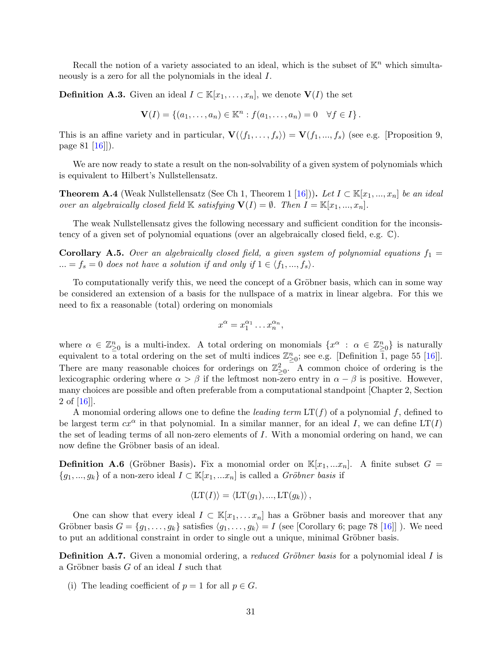Recall the notion of a variety associated to an ideal, which is the subset of  $\mathbb{K}^n$  which simultaneously is a zero for all the polynomials in the ideal I.

**Definition A.3.** Given an ideal  $I \subset \mathbb{K}[x_1,\ldots,x_n]$ , we denote  $\mathbf{V}(I)$  the set

$$
\mathbf{V}(I) = \{ (a_1, \ldots, a_n) \in \mathbb{K}^n : f(a_1, \ldots, a_n) = 0 \quad \forall f \in I \}.
$$

This is an affine variety and in particular,  $\mathbf{V}(\langle f_1, \ldots, f_s \rangle) = \mathbf{V}(f_1, \ldots, f_s)$  (see e.g. [Proposition 9, page 81 [\[16\]](#page-38-19)]).

We are now ready to state a result on the non-solvability of a given system of polynomials which is equivalent to Hilbert's Nullstellensatz.

**Theorem A.4** (Weak Nullstellensatz (See Ch 1, Theorem 1 [\[16\]](#page-38-19))). Let  $I \subset \mathbb{K}[x_1, ..., x_n]$  be an ideal over an algebraically closed field K satisfying  $\mathbf{V}(I) = \emptyset$ . Then  $I = \mathbb{K}[x_1, ..., x_n]$ .

The weak Nullstellensatz gives the following necessary and sufficient condition for the inconsistency of a given set of polynomial equations (over an algebraically closed field, e.g. C).

**Corollary A.5.** Over an algebraically closed field, a given system of polynomial equations  $f_1 =$ ... =  $f_s = 0$  does not have a solution if and only if  $1 \in \langle f_1, ..., f_s \rangle$ .

To computationally verify this, we need the concept of a Gröbner basis, which can in some way be considered an extension of a basis for the nullspace of a matrix in linear algebra. For this we need to fix a reasonable (total) ordering on monomials

$$
x^{\alpha} = x_1^{\alpha_1} \dots x_n^{\alpha_n},
$$

where  $\alpha \in \mathbb{Z}_{\geq 0}^n$  is a multi-index. A total ordering on monomials  $\{x^\alpha : \alpha \in \mathbb{Z}_{\geq 0}^n\}$  is naturally equivalent to a total ordering on the set of multi indices  $\mathbb{Z}_{\geq 0}^n$ ; see e.g. [Definition 1, page 55 [\[16\]](#page-38-19)]. There are many reasonable choices for orderings on  $\mathbb{Z}_{\geq 0}^2$ . A common choice of ordering is the lexicographic ordering where  $\alpha > \beta$  if the leftmost non-zero entry in  $\alpha - \beta$  is positive. However, many choices are possible and often preferable from a computational standpoint [Chapter 2, Section 2 of [\[16\]](#page-38-19)].

A monomial ordering allows one to define the *leading term*  $LT(f)$  of a polynomial f, defined to be largest term  $cx^{\alpha}$  in that polynomial. In a similar manner, for an ideal I, we can define  $LT(I)$ the set of leading terms of all non-zero elements of I. With a monomial ordering on hand, we can now define the Gröbner basis of an ideal.

**Definition A.6** (Gröbner Basis). Fix a monomial order on  $\mathbb{K}[x_1,...x_n]$ . A finite subset  $G =$  ${g_1, ..., g_k}$  of a non-zero ideal  $I \subset \mathbb{K}[x_1, ... x_n]$  is called a *Gröbner basis* if

$$
\langle \mathrm{LT}(I) \rangle = \langle \mathrm{LT}(g_1), \dots, \mathrm{LT}(g_k) \rangle ,
$$

One can show that every ideal  $I \subset \mathbb{K}[x_1, \ldots x_n]$  has a Gröbner basis and moreover that any Gröbner basis  $G = \{g_1, \ldots, g_k\}$  satisfies  $\langle g_1, \ldots, g_k \rangle = I$  (see [Corollary 6; page 78 [\[16\]](#page-38-19)] ). We need to put an additional constraint in order to single out a unique, minimal Gröbner basis.

**Definition A.7.** Given a monomial ordering, a *reduced Gröbner basis* for a polynomial ideal I is a Gröbner basis  $G$  of an ideal  $I$  such that

(i) The leading coefficient of  $p = 1$  for all  $p \in G$ .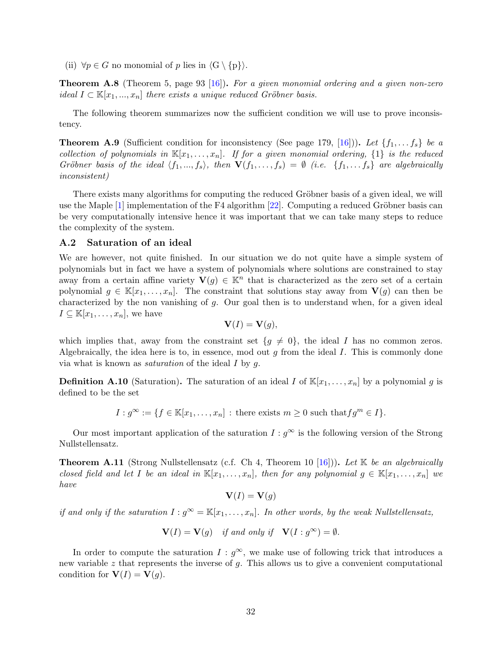(ii)  $\forall p \in G$  no monomial of p lies in  $\langle G \setminus \{p\}\rangle$ .

**Theorem A.8** (Theorem 5, page 93 [\[16\]](#page-38-19)). For a given monomial ordering and a given non-zero ideal  $I \subset \mathbb{K}[x_1, ..., x_n]$  there exists a unique reduced Gröbner basis.

The following theorem summarizes now the sufficient condition we will use to prove inconsistency.

<span id="page-31-2"></span>**Theorem A.9** (Sufficient condition for inconsistency (See page 179, [\[16\]](#page-38-19))). Let  $\{f_1, \ldots, f_s\}$  be a collection of polynomials in  $\mathbb{K}[x_1,\ldots,x_n]$ . If for a given monomial ordering,  $\{1\}$  is the reduced Gröbner basis of the ideal  $\langle f_1, ..., f_s \rangle$ , then  $\mathbf{V}(f_1, ..., f_s) = \emptyset$  (i.e.  $\{f_1, ..., f_s\}$  are algebraically inconsistent)

There exists many algorithms for computing the reduced Gröbner basis of a given ideal, we will use the Maple  $[1]$  implementation of the F4 algorithm  $[22]$ . Computing a reduced Gröbner basis can be very computationally intensive hence it was important that we can take many steps to reduce the complexity of the system.

#### <span id="page-31-1"></span>A.2 Saturation of an ideal

We are however, not quite finished. In our situation we do not quite have a simple system of polynomials but in fact we have a system of polynomials where solutions are constrained to stay away from a certain affine variety  $V(g) \in K^n$  that is characterized as the zero set of a certain polynomial  $g \in \mathbb{K}[x_1,\ldots,x_n]$ . The constraint that solutions stay away from  $\mathbf{V}(g)$  can then be characterized by the non vanishing of  $g$ . Our goal then is to understand when, for a given ideal  $I \subseteq \mathbb{K}[x_1,\ldots,x_n],$  we have

$$
\mathbf{V}(I) = \mathbf{V}(g),
$$

which implies that, away from the constraint set  $\{g \neq 0\}$ , the ideal I has no common zeros. Algebraically, the idea here is to, in essence, mod out  $g$  from the ideal  $I$ . This is commonly done via what is known as *saturation* of the ideal  $I$  by  $q$ .

**Definition A.10** (Saturation). The saturation of an ideal I of  $\mathbb{K}[x_1, \ldots, x_n]$  by a polynomial g is defined to be the set

 $I: g^{\infty} := \{f \in \mathbb{K}[x_1,\ldots,x_n] : \text{there exists } m \geq 0 \text{ such that } fg^m \in I\}.$ 

Our most important application of the saturation  $I: g^{\infty}$  is the following version of the Strong Nullstellensatz.

<span id="page-31-0"></span>**Theorem A.11** (Strong Nullstellensatz (c.f. Ch 4, Theorem 10 [\[16\]](#page-38-19))). Let K be an algebraically closed field and let I be an ideal in  $\mathbb{K}[x_1,\ldots,x_n]$ , then for any polynomial  $g \in \mathbb{K}[x_1,\ldots,x_n]$  we have

$$
\mathbf{V}(I) = \mathbf{V}(g)
$$

if and only if the saturation  $I : g^{\infty} = \mathbb{K}[x_1, \ldots, x_n]$ . In other words, by the weak Nullstellensatz,

$$
\mathbf{V}(I) = \mathbf{V}(g) \quad \text{if and only if} \quad \mathbf{V}(I : g^{\infty}) = \emptyset.
$$

In order to compute the saturation  $I : g^{\infty}$ , we make use of following trick that introduces a new variable  $z$  that represents the inverse of  $q$ . This allows us to give a convenient computational condition for  $V(I) = V(q)$ .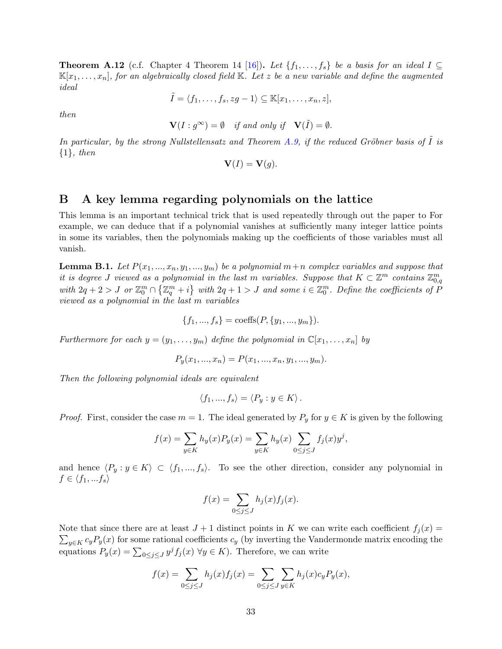<span id="page-32-2"></span>**Theorem A.12** (c.f. Chapter 4 Theorem 14 [\[16\]](#page-38-19)). Let  $\{f_1, \ldots, f_s\}$  be a basis for an ideal  $I \subseteq$  $\mathbb{K}[x_1,\ldots,x_n]$ , for an algebraically closed field  $\mathbb{K}$ . Let z be a new variable and define the augmented ideal

$$
\tilde{I} = \langle f_1, \ldots, f_s, zg - 1 \rangle \subseteq \mathbb{K}[x_1, \ldots, x_n, z],
$$

then

$$
\mathbf{V}(I : g^{\infty}) = \emptyset \quad \text{if and only if} \quad \mathbf{V}(\tilde{I}) = \emptyset.
$$

In particular, by the strong Nullstellensatz and Theorem [A.9,](#page-31-2) if the reduced Gröbner basis of  $I$  is  $\{1\}$ , then

$$
\mathbf{V}(I) = \mathbf{V}(g).
$$

## <span id="page-32-0"></span>B A key lemma regarding polynomials on the lattice

This lemma is an important technical trick that is used repeatedly through out the paper to For example, we can deduce that if a polynomial vanishes at sufficiently many integer lattice points in some its variables, then the polynomials making up the coefficients of those variables must all vanish.

<span id="page-32-1"></span>**Lemma B.1.** Let  $P(x_1, ..., x_n, y_1, ..., y_m)$  be a polynomial  $m+n$  complex variables and suppose that it is degree J viewed as a polynomial in the last m variables. Suppose that  $K \subset \mathbb{Z}^m$  contains  $\mathbb{Z}_{0,q}^m$ with  $2q+2>J$  or  $\mathbb{Z}_0^m \cap \{\mathbb{Z}_q^m+i\}$  with  $2q+1>J$  and some  $i \in \mathbb{Z}_0^m$ . Define the coefficients of  $\hat{P}$ viewed as a polynomial in the last m variables

$$
\{f_1, ..., f_s\} = \text{coeffs}(P, \{y_1, ..., y_m\}).
$$

Furthermore for each  $y = (y_1, \ldots, y_m)$  define the polynomial in  $\mathbb{C}[x_1, \ldots, x_n]$  by

$$
P_y(x_1, ..., x_n) = P(x_1, ..., x_n, y_1, ..., y_m).
$$

Then the following polynomial ideals are equivalent

$$
\langle f_1, ..., f_s \rangle = \langle P_y : y \in K \rangle.
$$

*Proof.* First, consider the case  $m = 1$ . The ideal generated by  $P_y$  for  $y \in K$  is given by the following

$$
f(x) = \sum_{y \in K} h_y(x) P_y(x) = \sum_{y \in K} h_y(x) \sum_{0 \le j \le J} f_j(x) y^j,
$$

and hence  $\langle P_y : y \in K \rangle \subset \langle f_1, ..., f_s \rangle$ . To see the other direction, consider any polynomial in  $f \in \langle f_1, ... f_s \rangle$ 

$$
f(x) = \sum_{0 \le j \le J} h_j(x) f_j(x).
$$

Note that since there are at least  $J + 1$  distinct points in K we can write each coefficient  $f_j(x) =$  $\sum_{y\in K} c_y P_y(x)$  for some rational coefficients  $c_y$  (by inverting the Vandermonde matrix encoding the equations  $P_y(x) = \sum_{0 \le j \le J} y^j f_j(x) \ \forall y \in K$ ). Therefore, we can write

$$
f(x) = \sum_{0 \le j \le J} h_j(x) f_j(x) = \sum_{0 \le j \le J} \sum_{y \in K} h_j(x) c_y P_y(x),
$$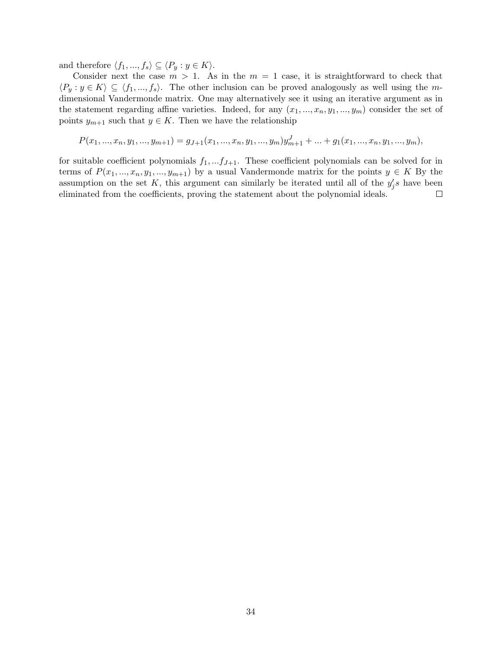and therefore  $\langle f_1, ..., f_s \rangle \subseteq \langle P_y : y \in K \rangle$ .

Consider next the case  $m > 1$ . As in the  $m = 1$  case, it is straightforward to check that  $\langle P_y : y \in K \rangle \subseteq \langle f_1, ..., f_s \rangle$ . The other inclusion can be proved analogously as well using the mdimensional Vandermonde matrix. One may alternatively see it using an iterative argument as in the statement regarding affine varieties. Indeed, for any  $(x_1, ..., x_n, y_1, ..., y_m)$  consider the set of points  $y_{m+1}$  such that  $y \in K$ . Then we have the relationship

$$
P(x_1, ..., x_n, y_1, ..., y_{m+1}) = g_{J+1}(x_1, ..., x_n, y_1, ..., y_m)y_{m+1}^J + ... + g_1(x_1, ..., x_n, y_1, ..., y_m),
$$

for suitable coefficient polynomials  $f_1, \ldots, f_{J+1}$ . These coefficient polynomials can be solved for in terms of  $P(x_1, ..., x_n, y_1, ..., y_{m+1})$  by a usual Vandermonde matrix for the points  $y \in K$  By the assumption on the set K, this argument can similarly be iterated until all of the  $y_j's$  have been eliminated from the coefficients, proving the statement about the polynomial ideals.  $\Box$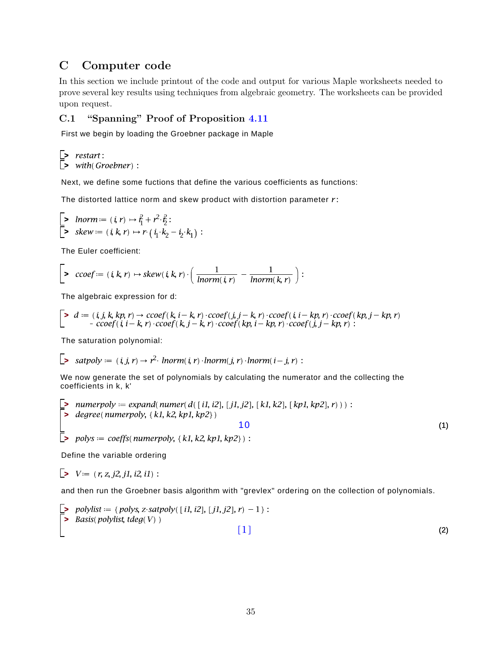## <span id="page-34-0"></span>C Computer code

In this section we include printout of the code and output for various Maple worksheets needed to prove several key results using techniques from algebraic geometry. The worksheets can be provided upon request.

## <span id="page-34-1"></span>C.1 "Spanning" Proof of Proposition [4.11](#page-20-0)

First we begin by loading the Groebner package in Maple

*s* with(Groebner): **E**> restart:

Next, we define some fuctions that define the various coefficients as functions:

The distorted lattice norm and skew product with distortion parameter  $r$ :

$$
\begin{bmatrix} \text{• } \textit{Inorm} := (i, r) \mapsto i_1^2 + r^2 \cdot i_2^2 : \\ \text{• } \textit{skew} := (i, k, r) \mapsto r \cdot (i_1 \cdot k_2 - i_2 \cdot k_1) : \end{bmatrix}
$$

The Euler coefficient:

$$
\left[\begin{array}{ccc} \bullet & ccoef := (i,k,r) \mapsto skew(i,k,r) \cdot \left( \frac{1}{Inorm(i,r)} - \frac{1}{Inorm(k,r)} \right) : \end{array} \right]
$$

The algebraic expression for d:

$$
\begin{bmatrix} & d &:= (i, j, k, kp, r) \rightarrow ccoef(k, i - k, r) \cdot ccoef(j, j - k, r) \cdot ccoef(i, i - kp, r) \cdot ccoef(kp, j - kp, r) \\ & - ccoef(i, i - k, r) \cdot ccoef(k, j - k, r) \cdot ccoef(kp, i - kp, r) \cdot ccoef(j, j - kp, r) \end{bmatrix}
$$

The saturation polynomial:

$$
\sum \text{ satpoly := (i, j, r) \rightarrow r2·lnorm(i, r) \cdot lnorm(j, r) \cdot lnorm(i - j, r) :
$$

We now generate the set of polynomials by calculating the numerator and the collecting the coefficients in k, k'

**>** degree(numerpoly, {k1, k2, kp1, kp2}) **p** numerpoly  $:=$  expand(numer(d([i1, i2], [j1, j2], [k1, k2], [kp1, kp2], r))) : 10

 $\bar{z}$  polys = coeffs(numerpoly, {k1, k2, kp1, kp2}) :

Define the variable ordering

 $V = (r, z, j2, j1, i2, i1)$ :

L.

and then run the Groebner basis algorithm with "grevlex" ordering on the collection of polynomials.

$$
\begin{array}{ll}\n\text{S} & polylist := \{ \text{polys, } z \cdot \text{satpoly}(\ [1, i2], [j1, j2], r) - 1 \ \} : \\
\text{S} & Basis(\text{polylist, } \text{tdeg}(V))\n\end{array}\n\tag{2}
$$

(1)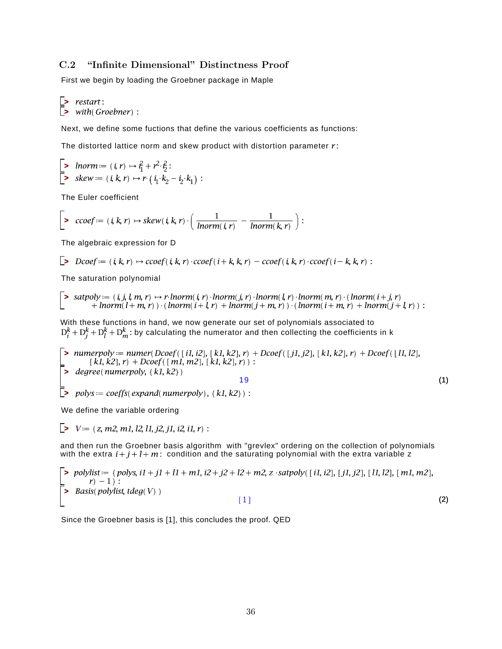## <span id="page-35-0"></span>C.2 "Infinite Dimensional" Distinctness Proof

First we begin by loading the Groebner package in Maple

**> >** 

Next, we define some fuctions that define the various coefficients as functions:

The distorted lattice norm and skew product with distortion parameter  $r$ :

**> >** 

The Euler coefficient

$$
\left[\begin{array}{ccc} \bullet & ccoef := (i,k,r) \mapsto skew(i,k,r) \cdot \left( \frac{1}{Inorm(i,r)} - \frac{1}{Inorm(k,r)} \right) : \end{array} \right]
$$

The algebraic expression for D

$$
\Box
$$
 
$$
D\text{coef} := (i, k, r) \mapsto \text{ccoef}(i, k, r) \cdot \text{ccoef}(i + k, k, r) - \text{ccoef}(i, k, r) \cdot \text{ccoef}(i - k, k, r) :
$$

The saturation polynomial

 $\begin{bmatrix} \triangleright & \textit{satpoly} := (i, j, l, m, r) \mapsto r \cdot \textit{Inorm}(i, r) \cdot \textit{Inorm}(j, r) \cdot \textit{Inorm}(l, r) \cdot \textit{Inorm}(m, r) \cdot (\textit{Inorm}(i + j, r)) \\ + \textit{Inorm}(l + m, r)) \cdot (\textit{Inorm}(i + l, r) + \textit{Inorm}(j + m, r)) \cdot (\textit{Inorm}(i + m, r) + \textit{Inorm}(j + l, r)) : \end{bmatrix}$ 

With these functions in hand, we now generate our set of polynomials associated to  $D_i^k + D_i^k + D_l^k + D_m^k$ : by calculating the numerator and then collecting the coefficients in k

 $\vert$  > numerpoly = numer(Dcoef([i1, i2], [k1, k2], r) + Dcoef([j1, j2], [k1, k2], r) + Dcoef([l1, l2],  $\Box$  polys = coeffs(expand(numerpoly), {k1, k2}) :  $=$  [k1, k2], r) + Dcoef ([m1, m2], [k1, k2], r) :<br> **>** degree (numerpoly, {k1, k2}) (1) 19

We define the variable ordering

$$
\triangleright \ \ V := (z, m2, m1, l2, l1, j2, j1, i2, i1, r) :
$$

and then run the Groebner basis algorithm with "grevlex" ordering on the collection of polynomials with the extra  $i+j+l+m$ : condition and the saturating polynomial with the extra variable z

$$
\sum_{r=1}^{n} \binom{polylist}{r} = \{ \text{polys, } \text{if } i \neq j \} + \text{if } i \neq j \} + \text{if } i \neq j \text{ and } j \neq j \text{ and } j \neq j \text{ and } j \neq j \text{ and } j \neq j \text{ and } j \neq j \text{ and } j \neq j \text{ and } j \neq j \text{ and } j \neq j \text{ and } j \neq j \text{ and } j \neq j \text{ and } j \neq j \text{ and } j \neq j \text{ and } j \neq j \text{ and } j \neq j \text{ and } j \neq j \text{ and } j \neq j \text{ and } j \neq j \text{ and } j \neq j \text{ and } j \neq j \text{ and } j \neq j \text{ and } j \neq j \text{ and } j \neq j \text{ and } j \neq j \text{ and } j \neq j \text{ and } j \neq j \text{ and } j \neq j \text{ and } j \neq j \text{ and } j \neq j \text{ and } j \neq j \text{ and } j \neq j \text{ and } j \neq j \text{ and } j \neq j \text{ and } j \neq j \text{ and } j \neq j \text{ and } j \neq j \text{ and } j \neq j \text{ and } j \neq j \text{ and } j \neq j \text{ and } j \neq j \text{ and } j \neq j \text{ and } j \neq j \text{ and } j \neq j \text{ and } j \neq j \text{ and } j \neq j \text{ and } j \neq j \text{ and } j \neq j \text{ and } j \neq j \text{ and } j \neq j \text{ and } j \neq j \text{ and } j \neq j \text{ and } j \neq j \text{ and } j \neq j \text{ and } j \neq j \text{ and } j \neq j \text{ and } j \neq j \text{ and } j \neq j \text{ and } j \neq j \text{ and } j \neq j \text{ and } j \neq j \text{ and } j \neq j \text{ and } j \neq j \text{ and } j \neq j \text{ and } j \neq j \text{ and } j \neq j \text{ and } j \neq j \text{ and } j \neq j \text{ and } j \neq j \text{ and } j \neq j \text{ and } j \neq j \text{ and }
$$

Since the Groebner basis is [1], this concludes the proof. QED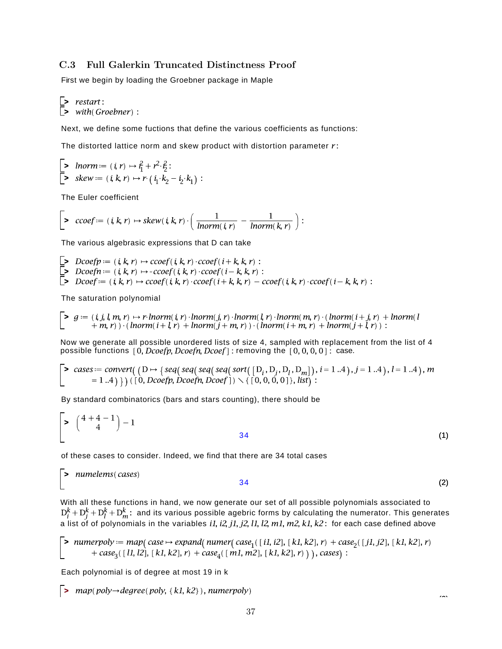## <span id="page-36-0"></span>C.3 Full Galerkin Truncated Distinctness Proof

First we begin by loading the Groebner package in Maple

**> >** 

Next, we define some fuctions that define the various coefficients as functions:

The distorted lattice norm and skew product with distortion parameter  $r$ :

**> >** 

The Euler coefficient

$$
\left[\begin{array}{ccc} \bullet & ccoef := (i,k,r) \mapsto skew(i,k,r) \cdot \left( \frac{1}{Inorm(i,r)} - \frac{1}{Inorm(k,r)} \right) : \end{array} \right]
$$

The various algebrasic expressions that D can take

**> > >** 

The saturation polynomial

$$
\begin{bmatrix} \textbf{&} g := (i, j, l, m, r) \mapsto r \cdot \text{Inorm}(i, r) \cdot \text{Inorm}(j, r) \cdot \text{Inorm}(l, r) \cdot \text{Inorm}(m, r) \cdot (\text{Inorm}(i + j, r) + \text{Inorm}(l + m, r)) \cdot (\text{Inorm}(i + l, r) + \text{Inorm}(j + m, r)) \cdot (\text{Inorm}(i + m, r) + \text{Inorm}(j + l, r)) \end{bmatrix}
$$

Now we generate all possible unordered lists of size 4, sampled with replacement from the list of 4 possible functions  $[0, D\text{coeff}, D\text{coeff}, D\text{coeff} ]$  removing the  $[0, 0, 0, 0]$  case.

$$
\begin{bmatrix} \text{&} \text{cases} := \text{convert}((D \rightarrow \{ \text{seq}(\text{seq}(\text{seq}(\text{sort}([D_i, D_j, D_n], D_m)), i = 1..4), j = 1..4), l = 1..4), m \} \\ = 1..4) \}) ([0, \text{Dcoefp}, \text{Dcoefn}, \text{Dcoefj}) \setminus \{ [0, 0, 0, 0] \}, \text{list}) :
$$

By standard combinatorics (bars and stars counting), there should be

$$
\begin{bmatrix} \ast & \binom{4+4-1}{4} - 1 \\ 34 & \end{bmatrix}
$$
 (1)

of these cases to consider. Indeed, we find that there are 34 total cases

**>**  (2) 34

With all these functions in hand, we now generate our set of all possible polynomials associated to and its various possible agebric forms by calculating the numerator. This generates a list of of polynomials in the variables *i1, i2, j1, j2, l1, l2, m1, m2, k1, k2* : for each case defined above

$$
\text{Number of } \text{number} = \text{map}(\text{case} \rightarrow \text{expand}(\text{numer}(\text{case}_1([i1, i2], [k1, k2], r) + \text{case}_2([j1, j2], [k1, k2], r) + \text{case}_3([l1, l2], [k1, k2], r) + \text{case}_4([m1, m2], [k1, k2], r)) \text{), cases):}
$$

Each polynomial is of degree at most 19 in k

 $\Box$  map(poly $\rightarrow$ degree(poly, {k1, k2}), numerpoly)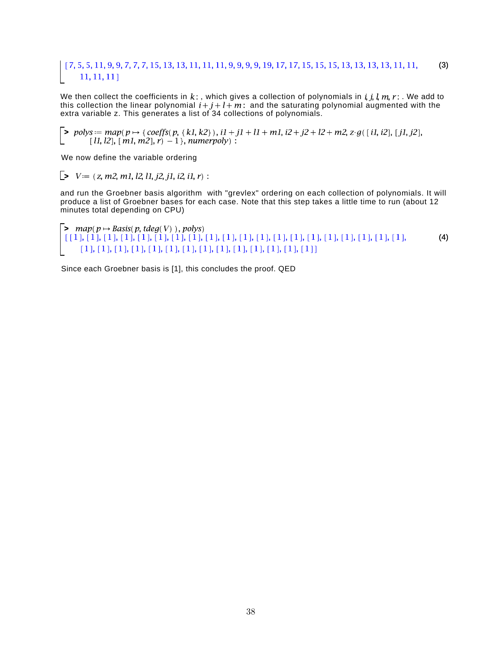#### (3)  $11, 11, 11$

We then collect the coefficients in k:, which gives a collection of polynomials in  $i, j, l, m, r$ :. We add to this collection the linear polynomial  $i+j+l+m$ : and the saturating polynomial augmented with the extra variable z. This generates a list of 34 collections of polynomials.

 $\Rightarrow$  polys  $:=$  map(p  $\mapsto$  {coeffs(p, {k1,k2}), i1 + j1 + l1 + m1, i2 + j2 + l2 + m2, z· g([i1, i2], [j1, j2], [11, 12], [m1, m2], r) -1 }, numerpoly) :

We now define the variable ordering

 $\triangleright$   $V = (z, m2, m1, l2, l1, j2, j1, i2, i1, r)$ :

and run the Groebner basis algorithm with "grevlex" ordering on each collection of polynomials. It will produce a list of Groebner bases for each case. Note that this step takes a little time to run (about 12 minutes total depending on CPU)

```
> 
    (4)
```
Since each Groebner basis is [1], this concludes the proof. QED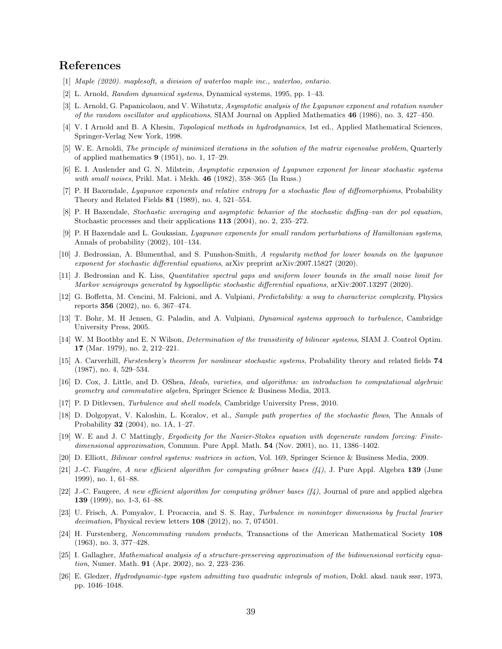## References

- <span id="page-38-12"></span>[1] Maple (2020). maplesoft, a division of waterloo maple inc., waterloo, ontario.
- <span id="page-38-20"></span>[2] L. Arnold, Random dynamical systems, Dynamical systems, 1995, pp. 1–43.
- <span id="page-38-7"></span>[3] L. Arnold, G. Papanicolaou, and V. Wihstutz, Asymptotic analysis of the Lyapunov exponent and rotation number of the random oscillator and applications, SIAM Journal on Applied Mathematics  $46$  (1986), no. 3, 427–450.
- <span id="page-38-16"></span>[4] V. I Arnold and B. A Khesin, Topological methods in hydrodynamics, 1st ed., Applied Mathematical Sciences, Springer-Verlag New York, 1998.
- <span id="page-38-24"></span>[5] W. E. Arnoldi, The principle of minimized iterations in the solution of the matrix eigenvalue problem, Quarterly of applied mathematics 9 (1951), no. 1, 17–29.
- <span id="page-38-8"></span>[6] E. I. Auslender and G. N. Milstein, Asymptotic expansion of Lyapunov exponent for linear stochastic systems with small noises, Prikl. Mat. i Mekh.  $46$  (1982), 358–365 (In Russ.)
- <span id="page-38-5"></span>[7] P. H Baxendale, Lyapunov exponents and relative entropy for a stochastic flow of diffeomorphisms, Probability Theory and Related Fields 81 (1989), no. 4, 521–554.
- <span id="page-38-9"></span>[8] P. H Baxendale, Stochastic averaging and asymptotic behavior of the stochastic duffing–van der pol equation, Stochastic processes and their applications 113 (2004), no. 2, 235–272.
- <span id="page-38-10"></span>[9] P. H Baxendale and L. Goukasian, Lyapunov exponents for small random perturbations of Hamiltonian systems, Annals of probability (2002), 101–134.
- <span id="page-38-1"></span>[10] J. Bedrossian, A. Blumenthal, and S. Punshon-Smith, A regularity method for lower bounds on the lyapunov exponent for stochastic differential equations, arXiv preprint arXiv:2007.15827 (2020).
- <span id="page-38-4"></span>[11] J. Bedrossian and K. Liss, Quantitative spectral gaps and uniform lower bounds in the small noise limit for Markov semigroups generated by hypoelliptic stochastic differential equations, arXiv:2007.13297 (2020).
- <span id="page-38-11"></span>[12] G. Boffetta, M. Cencini, M. Falcioni, and A. Vulpiani, Predictability: a way to characterize complexity, Physics reports 356 (2002), no. 6, 367–474.
- <span id="page-38-0"></span>[13] T. Bohr, M. H Jensen, G. Paladin, and A. Vulpiani, Dynamical systems approach to turbulence, Cambridge University Press, 2005.
- <span id="page-38-22"></span>[14] W. M Boothby and E. N Wilson, Determination of the transitivity of bilinear systems, SIAM J. Control Optim. 17 (Mar. 1979), no. 2, 212–221.
- <span id="page-38-6"></span>[15] A. Carverhill, Furstenberg's theorem for nonlinear stochastic systems, Probability theory and related fields 74 (1987), no. 4, 529–534.
- <span id="page-38-19"></span>[16] D. Cox, J. Little, and D. OShea, Ideals, varieties, and algorithms: an introduction to computational algebraic geometry and commutative algebra, Springer Science & Business Media, 2013.
- <span id="page-38-3"></span>[17] P. D Ditlevsen, Turbulence and shell models, Cambridge University Press, 2010.
- <span id="page-38-21"></span>[18] D. Dolgopyat, V. Kaloshin, L. Koralov, et al., Sample path properties of the stochastic flows, The Annals of Probability 32 (2004), no. 1A, 1–27.
- <span id="page-38-13"></span>[19] W. E and J. C Mattingly, Ergodicity for the Navier-Stokes equation with degenerate random forcing: Finitedimensional approximation, Commun. Pure Appl. Math. 54 (Nov. 2001), no. 11, 1386–1402.
- <span id="page-38-17"></span>[20] D. Elliott, Bilinear control systems: matrices in action, Vol. 169, Springer Science & Business Media, 2009.
- <span id="page-38-18"></span>[21] J.-C. Faugére, A new efficient algorithm for computing gröbner bases  $(f_4)$ , J. Pure Appl. Algebra 139 (June 1999), no. 1, 61–88.
- <span id="page-38-25"></span>[22] J.-C. Faugere, A new efficient algorithm for computing gröbner bases  $(f_4)$ , Journal of pure and applied algebra 139 (1999), no. 1-3, 61–88.
- <span id="page-38-14"></span>[23] U. Frisch, A. Pomyalov, I. Procaccia, and S. S. Ray, Turbulence in noninteger dimensions by fractal fourier  $decimation$ , Physical review letters  $108$  (2012), no. 7, 074501.
- <span id="page-38-23"></span>[24] H. Furstenberg, Noncommuting random products, Transactions of the American Mathematical Society 108 (1963), no. 3, 377–428.
- <span id="page-38-15"></span>[25] I. Gallagher, Mathematical analysis of a structure-preserving approximation of the bidimensional vorticity equation, Numer. Math. **91** (Apr. 2002), no. 2, 223-236.
- <span id="page-38-2"></span>[26] E. Gledzer, Hydrodynamic-type system admitting two quadratic integrals of motion, Dokl. akad. nauk sssr, 1973, pp. 1046–1048.